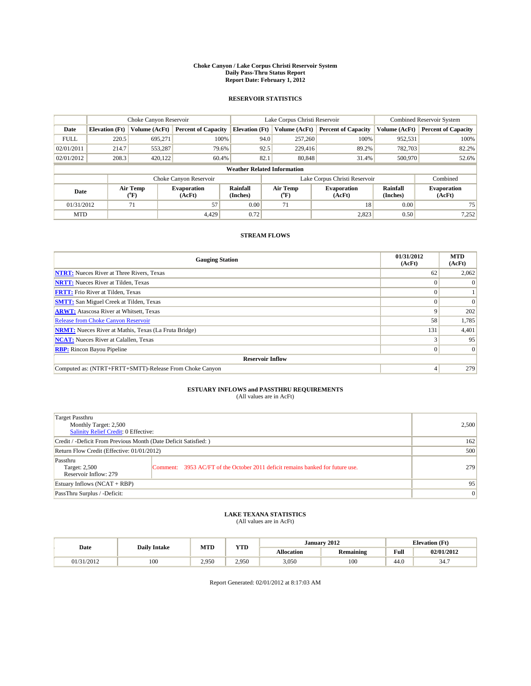#### **Choke Canyon / Lake Corpus Christi Reservoir System Daily Pass-Thru Status Report Report Date: February 1, 2012**

### **RESERVOIR STATISTICS**

|             | Choke Canyon Reservoir             |                      |                              |                             | Lake Corpus Christi Reservoir | <b>Combined Reservoir System</b> |                             |                              |  |  |
|-------------|------------------------------------|----------------------|------------------------------|-----------------------------|-------------------------------|----------------------------------|-----------------------------|------------------------------|--|--|
| Date        | <b>Elevation</b> (Ft)              | <b>Volume (AcFt)</b> | <b>Percent of Capacity</b>   | <b>Elevation</b> (Ft)       | Volume (AcFt)                 | <b>Percent of Capacity</b>       | Volume (AcFt)               | <b>Percent of Capacity</b>   |  |  |
| <b>FULL</b> | 220.5                              | 695,271              | 100%                         |                             | 257,260<br>94.0               | 100%                             | 952,531                     | 100%                         |  |  |
| 02/01/2011  | 214.7                              | 553,287              | 79.6%                        |                             | 92.5<br>229,416               | 89.2%                            | 782,703                     | 82.2%                        |  |  |
| 02/01/2012  | 208.3                              | 420.122              | 60.4%                        | 82.1                        | 80,848                        | 31.4%                            | 500,970                     | 52.6%                        |  |  |
|             | <b>Weather Related Information</b> |                      |                              |                             |                               |                                  |                             |                              |  |  |
|             |                                    |                      | Choke Canyon Reservoir       |                             | Lake Corpus Christi Reservoir |                                  |                             | Combined                     |  |  |
| Date        |                                    | Air Temp<br>(°F)     | <b>Evaporation</b><br>(AcFt) | <b>Rainfall</b><br>(Inches) | Air Temp<br>$(^oF)$           | <b>Evaporation</b><br>(AcFt)     | <b>Rainfall</b><br>(Inches) | <b>Evaporation</b><br>(AcFt) |  |  |
| 01/31/2012  |                                    | 71                   | 57                           | 0.00                        | 71                            | 18                               | 0.00                        | 75                           |  |  |
| <b>MTD</b>  |                                    |                      | 4.429                        | 0.72                        |                               | 2,823                            | 0.50                        | 7,252                        |  |  |

### **STREAM FLOWS**

| <b>Gauging Station</b>                                       | 01/31/2012<br>(AcFt) | <b>MTD</b><br>(AcFt) |
|--------------------------------------------------------------|----------------------|----------------------|
| <b>NTRT:</b> Nueces River at Three Rivers, Texas             | 62                   | 2,062                |
| <b>NRTT:</b> Nueces River at Tilden, Texas                   |                      |                      |
| <b>FRTT:</b> Frio River at Tilden, Texas                     |                      |                      |
| <b>SMTT:</b> San Miguel Creek at Tilden, Texas               |                      | $\Omega$             |
| <b>ARWT:</b> Atascosa River at Whitsett, Texas               | 9                    | 202                  |
| Release from Choke Canyon Reservoir                          | 58                   | 1,785                |
| <b>NRMT:</b> Nueces River at Mathis, Texas (La Fruta Bridge) | 131                  | 4,401                |
| <b>NCAT:</b> Nueces River at Calallen, Texas                 |                      | 95                   |
| <b>RBP:</b> Rincon Bayou Pipeline                            | $\Omega$             | $\Omega$             |
| <b>Reservoir Inflow</b>                                      |                      |                      |
| Computed as: (NTRT+FRTT+SMTT)-Release From Choke Canyon      | 4                    | 279                  |

# **ESTUARY INFLOWS and PASSTHRU REQUIREMENTS**<br>(All values are in AcFt)

| Target Passthru<br>Monthly Target: 2,500<br>Salinity Relief Credit: 0 Effective: | 2,500                                                                          |     |
|----------------------------------------------------------------------------------|--------------------------------------------------------------------------------|-----|
| Credit / -Deficit From Previous Month (Date Deficit Satisfied: )                 | 162                                                                            |     |
| Return Flow Credit (Effective: 01/01/2012)                                       | 500                                                                            |     |
| Passthru<br>Target: 2,500<br>Reservoir Inflow: 279                               | Comment: 3953 AC/FT of the October 2011 deficit remains banked for future use. | 279 |
| Estuary Inflows (NCAT + RBP)                                                     | 95                                                                             |     |
| PassThru Surplus / -Deficit:                                                     | $\vert 0 \vert$                                                                |     |

## **LAKE TEXANA STATISTICS** (All values are in AcFt)

|            | <b>Daily Intake</b> | MTD   | <b>XZOD</b><br>1 I.D | January 2012<br><b>Elevation</b> (Ft) |                  |                                         |                      |
|------------|---------------------|-------|----------------------|---------------------------------------|------------------|-----------------------------------------|----------------------|
| Date       |                     |       |                      | <b>Allocation</b>                     | <b>Remaining</b> | Full<br>the contract of the contract of | 02/01/2012           |
| 01/31/2012 | 100                 | 2.950 | 2.950                | 3.050                                 | 100              | 44.0                                    | . <i>. .</i><br>، 34 |

Report Generated: 02/01/2012 at 8:17:03 AM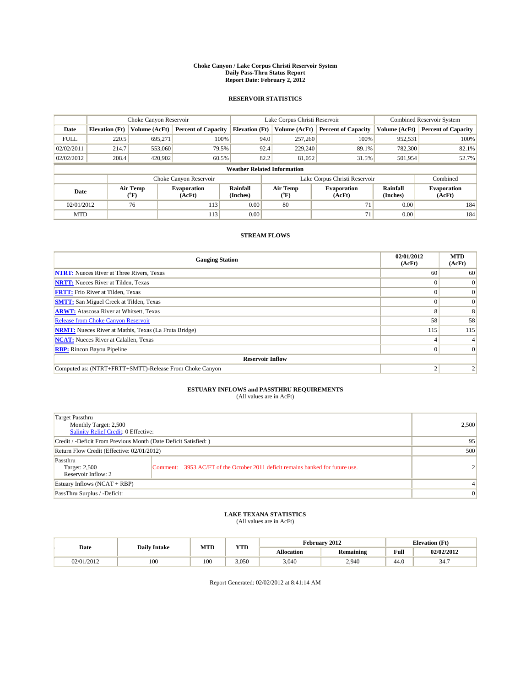#### **Choke Canyon / Lake Corpus Christi Reservoir System Daily Pass-Thru Status Report Report Date: February 2, 2012**

### **RESERVOIR STATISTICS**

|             | Choke Canyon Reservoir             |                  |                              |                             | Lake Corpus Christi Reservoir | <b>Combined Reservoir System</b> |                      |                              |  |  |
|-------------|------------------------------------|------------------|------------------------------|-----------------------------|-------------------------------|----------------------------------|----------------------|------------------------------|--|--|
| Date        | <b>Elevation</b> (Ft)              | Volume (AcFt)    | <b>Percent of Capacity</b>   | <b>Elevation</b> (Ft)       | Volume (AcFt)                 | <b>Percent of Capacity</b>       | Volume (AcFt)        | <b>Percent of Capacity</b>   |  |  |
| <b>FULL</b> | 220.5                              | 695,271          | 100%                         | 94.0                        | 257,260                       | 100%                             | 952,531              | 100%                         |  |  |
| 02/02/2011  | 214.7                              | 553,060          | 79.5%                        | 92.4                        | 229,240                       | 89.1%                            | 782,300              | 82.1%                        |  |  |
| 02/02/2012  | 208.4                              | 420,902          | 60.5%                        | 82.2                        | 81.052                        | 31.5%                            | 501,954              | 52.7%                        |  |  |
|             | <b>Weather Related Information</b> |                  |                              |                             |                               |                                  |                      |                              |  |  |
|             |                                    |                  | Choke Canyon Reservoir       |                             |                               | Lake Corpus Christi Reservoir    |                      | Combined                     |  |  |
| Date        |                                    | Air Temp<br>(°F) | <b>Evaporation</b><br>(AcFt) | <b>Rainfall</b><br>(Inches) | Air Temp<br>(°F)              | <b>Evaporation</b><br>(AcFt)     | Rainfall<br>(Inches) | <b>Evaporation</b><br>(AcFt) |  |  |
| 02/01/2012  |                                    | 76               | 113                          | 0.00                        | 80                            | 71                               | 0.00                 | 184                          |  |  |
| <b>MTD</b>  |                                    |                  | 113                          | 0.00                        |                               | 71                               | 0.00                 | 184                          |  |  |

### **STREAM FLOWS**

| <b>Gauging Station</b>                                       | 02/01/2012<br>(AcFt) | <b>MTD</b><br>(AcFt) |
|--------------------------------------------------------------|----------------------|----------------------|
| <b>NTRT:</b> Nueces River at Three Rivers, Texas             | 60                   | 60                   |
| <b>NRTT:</b> Nueces River at Tilden, Texas                   |                      | $\Omega$             |
| <b>FRTT:</b> Frio River at Tilden, Texas                     |                      |                      |
| <b>SMTT:</b> San Miguel Creek at Tilden, Texas               |                      | $\Omega$             |
| <b>ARWT:</b> Atascosa River at Whitsett, Texas               | Z.                   | 8                    |
| Release from Choke Canyon Reservoir                          | 58                   | 58                   |
| <b>NRMT:</b> Nueces River at Mathis, Texas (La Fruta Bridge) | 115                  | 115                  |
| <b>NCAT:</b> Nueces River at Calallen, Texas                 |                      |                      |
| <b>RBP:</b> Rincon Bayou Pipeline                            | $\Omega$             |                      |
| <b>Reservoir Inflow</b>                                      |                      |                      |
| Computed as: (NTRT+FRTT+SMTT)-Release From Choke Canyon      |                      |                      |

# **ESTUARY INFLOWS and PASSTHRU REQUIREMENTS**<br>(All values are in AcFt)

| Target Passthru<br>Monthly Target: 2,500<br>Salinity Relief Credit: 0 Effective: |                                                                                | 2,500 |
|----------------------------------------------------------------------------------|--------------------------------------------------------------------------------|-------|
| Credit / -Deficit From Previous Month (Date Deficit Satisfied: )                 | 95                                                                             |       |
| Return Flow Credit (Effective: 02/01/2012)                                       | 500                                                                            |       |
| Passthru<br>Target: 2,500<br>Reservoir Inflow: 2                                 | Comment: 3953 AC/FT of the October 2011 deficit remains banked for future use. |       |
| Estuary Inflows (NCAT + RBP)                                                     |                                                                                | 4     |
| PassThru Surplus / -Deficit:                                                     | $\mathbf{0}$                                                                   |       |

## **LAKE TEXANA STATISTICS** (All values are in AcFt)

|            | <b>Daily Intake</b> | MTD | <b>YTD</b> | February 2012<br><b>Elevation</b> (Ft) |                  |                                         |             |
|------------|---------------------|-----|------------|----------------------------------------|------------------|-----------------------------------------|-------------|
| Date       |                     |     |            | Allocation                             | <b>Remaining</b> | Full<br>the contract of the contract of | 02/02/2012  |
| 02/01/2012 | 100                 | 100 | 3.050      | 3,040                                  | 2.940            | 44.0                                    | 247<br>، 34 |

Report Generated: 02/02/2012 at 8:41:14 AM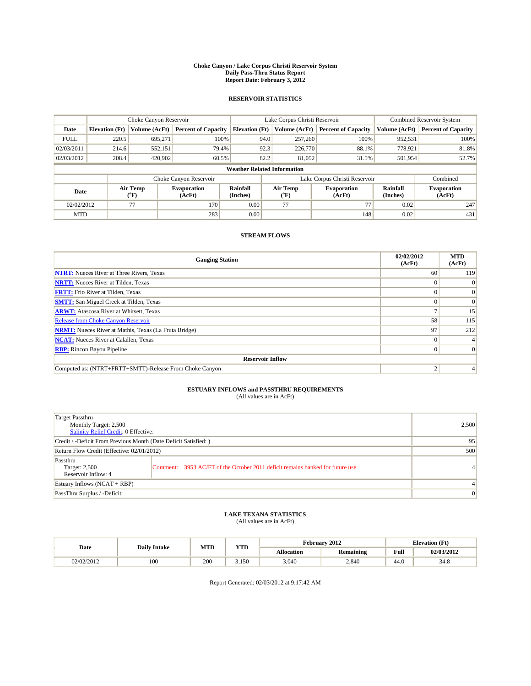#### **Choke Canyon / Lake Corpus Christi Reservoir System Daily Pass-Thru Status Report Report Date: February 3, 2012**

### **RESERVOIR STATISTICS**

|             | Choke Canyon Reservoir             |                      |                              |                             | Lake Corpus Christi Reservoir | <b>Combined Reservoir System</b> |                      |                              |  |  |
|-------------|------------------------------------|----------------------|------------------------------|-----------------------------|-------------------------------|----------------------------------|----------------------|------------------------------|--|--|
| Date        | <b>Elevation</b> (Ft)              | <b>Volume (AcFt)</b> | <b>Percent of Capacity</b>   | <b>Elevation</b> (Ft)       | Volume (AcFt)                 | <b>Percent of Capacity</b>       | Volume (AcFt)        | <b>Percent of Capacity</b>   |  |  |
| <b>FULL</b> | 220.5                              | 695,271              | 100%                         | 94.0                        | 257,260                       | 100%                             | 952,531              | 100%                         |  |  |
| 02/03/2011  | 214.6                              | 552,151              | 79.4%                        | 92.3                        | 226,770                       | 88.1%                            | 778,921              | 81.8%                        |  |  |
| 02/03/2012  | 208.4                              | 420,902              | 60.5%                        | 82.2                        | 81.052                        | 31.5%                            | 501,954              | 52.7%                        |  |  |
|             | <b>Weather Related Information</b> |                      |                              |                             |                               |                                  |                      |                              |  |  |
|             |                                    |                      | Choke Canyon Reservoir       |                             |                               | Lake Corpus Christi Reservoir    |                      | Combined                     |  |  |
| Date        |                                    | Air Temp<br>(°F)     | <b>Evaporation</b><br>(AcFt) | <b>Rainfall</b><br>(Inches) | Air Temp<br>(°F)              | <b>Evaporation</b><br>(AcFt)     | Rainfall<br>(Inches) | <b>Evaporation</b><br>(AcFt) |  |  |
| 02/02/2012  |                                    | 77                   | 170                          | 0.00                        | 77                            | 77                               | 0.02                 | 247                          |  |  |
| <b>MTD</b>  |                                    |                      | 283                          | 0.00                        |                               | 148                              | 0.02                 | 431                          |  |  |

### **STREAM FLOWS**

| <b>Gauging Station</b>                                       | 02/02/2012<br>(AcFt) | <b>MTD</b><br>(AcFt) |
|--------------------------------------------------------------|----------------------|----------------------|
| <b>NTRT:</b> Nueces River at Three Rivers, Texas             | 60                   | 119                  |
| <b>NRTT:</b> Nueces River at Tilden, Texas                   |                      |                      |
| <b>FRTT:</b> Frio River at Tilden, Texas                     |                      |                      |
| <b>SMTT:</b> San Miguel Creek at Tilden, Texas               |                      |                      |
| <b>ARWT:</b> Atascosa River at Whitsett, Texas               |                      | 15                   |
| Release from Choke Canyon Reservoir                          | 58                   | 115                  |
| <b>NRMT:</b> Nueces River at Mathis, Texas (La Fruta Bridge) | 97                   | 212                  |
| <b>NCAT:</b> Nueces River at Calallen, Texas                 | 0                    |                      |
| <b>RBP:</b> Rincon Bayou Pipeline                            | $\Omega$             | $\Omega$             |
| <b>Reservoir Inflow</b>                                      |                      |                      |
| Computed as: (NTRT+FRTT+SMTT)-Release From Choke Canyon      |                      |                      |

# **ESTUARY INFLOWS and PASSTHRU REQUIREMENTS**<br>(All values are in AcFt)

| Target Passthru<br>Monthly Target: 2,500<br>Salinity Relief Credit: 0 Effective: |                                                                                | 2,500 |
|----------------------------------------------------------------------------------|--------------------------------------------------------------------------------|-------|
| Credit / -Deficit From Previous Month (Date Deficit Satisfied: )                 | 95                                                                             |       |
| Return Flow Credit (Effective: 02/01/2012)                                       | 500                                                                            |       |
| Passthru<br>Target: 2,500<br>Reservoir Inflow: 4                                 | Comment: 3953 AC/FT of the October 2011 deficit remains banked for future use. | 4     |
| Estuary Inflows (NCAT + RBP)                                                     |                                                                                | 4     |
| PassThru Surplus / -Deficit:                                                     | $\mathbf{0}$                                                                   |       |

## **LAKE TEXANA STATISTICS** (All values are in AcFt)

|            | <b>Daily Intake</b> | <b>MTD</b> | <b>YTD</b> |                   | February 2012    | <b>Elevation</b> (Ft) |            |
|------------|---------------------|------------|------------|-------------------|------------------|-----------------------|------------|
| Date       |                     |            |            | <b>Allocation</b> | <b>Remaining</b> | Full                  | 02/03/2012 |
| 02/02/2012 | 100                 | 200        | 3.150      | 3,040             | 2.840            | 44.0                  | 34.8       |

Report Generated: 02/03/2012 at 9:17:42 AM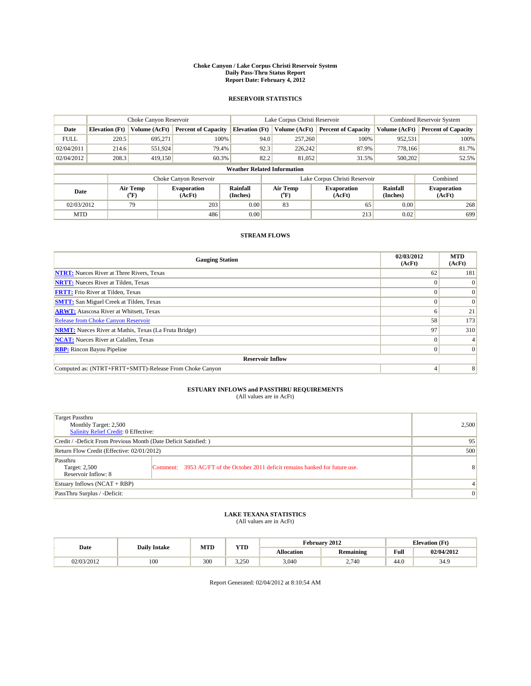#### **Choke Canyon / Lake Corpus Christi Reservoir System Daily Pass-Thru Status Report Report Date: February 4, 2012**

### **RESERVOIR STATISTICS**

|             | Choke Canyon Reservoir             |                      |                              |                             | Lake Corpus Christi Reservoir | <b>Combined Reservoir System</b> |                      |                              |  |  |
|-------------|------------------------------------|----------------------|------------------------------|-----------------------------|-------------------------------|----------------------------------|----------------------|------------------------------|--|--|
| Date        | <b>Elevation</b> (Ft)              | <b>Volume (AcFt)</b> | <b>Percent of Capacity</b>   | <b>Elevation</b> (Ft)       | Volume (AcFt)                 | <b>Percent of Capacity</b>       | Volume (AcFt)        | <b>Percent of Capacity</b>   |  |  |
| <b>FULL</b> | 220.5                              | 695,271              | 100%                         | 94.0                        | 257,260                       | 100%                             | 952,531              | 100%                         |  |  |
| 02/04/2011  | 214.6                              | 551,924              | 79.4%                        | 92.3                        | 226,242                       | 87.9%                            | 778.166              | 81.7%                        |  |  |
| 02/04/2012  | 208.3                              | 419,150              | 60.3%                        | 82.2                        | 81.052                        | 31.5%                            | 500,202              | 52.5%                        |  |  |
|             | <b>Weather Related Information</b> |                      |                              |                             |                               |                                  |                      |                              |  |  |
|             |                                    |                      | Choke Canyon Reservoir       |                             |                               | Lake Corpus Christi Reservoir    |                      | Combined                     |  |  |
| Date        |                                    | Air Temp<br>(°F)     | <b>Evaporation</b><br>(AcFt) | <b>Rainfall</b><br>(Inches) | Air Temp<br>(°F)              | <b>Evaporation</b><br>(AcFt)     | Rainfall<br>(Inches) | <b>Evaporation</b><br>(AcFt) |  |  |
| 02/03/2012  |                                    | 79                   | 203                          | 0.00                        | 83                            | 65                               | 0.00                 | 268                          |  |  |
| <b>MTD</b>  |                                    |                      | 486                          | 0.00                        |                               | 213                              | 0.02                 | 699                          |  |  |

### **STREAM FLOWS**

| <b>Gauging Station</b>                                       | 02/03/2012<br>(AcFt) | <b>MTD</b><br>(AcFt) |
|--------------------------------------------------------------|----------------------|----------------------|
| <b>NTRT:</b> Nueces River at Three Rivers, Texas             | 62                   | 181                  |
| <b>NRTT:</b> Nueces River at Tilden, Texas                   |                      |                      |
| <b>FRTT:</b> Frio River at Tilden, Texas                     |                      |                      |
| <b>SMTT:</b> San Miguel Creek at Tilden, Texas               |                      |                      |
| <b>ARWT:</b> Atascosa River at Whitsett, Texas               | n                    | 21                   |
| Release from Choke Canyon Reservoir                          | 58                   | 173                  |
| <b>NRMT:</b> Nueces River at Mathis, Texas (La Fruta Bridge) | 97                   | 310                  |
| <b>NCAT:</b> Nueces River at Calallen, Texas                 | 0                    |                      |
| <b>RBP:</b> Rincon Bayou Pipeline                            | $\Omega$             | $\Omega$             |
| <b>Reservoir Inflow</b>                                      |                      |                      |
| Computed as: (NTRT+FRTT+SMTT)-Release From Choke Canyon      | 4                    | 8                    |

# **ESTUARY INFLOWS and PASSTHRU REQUIREMENTS**<br>(All values are in AcFt)

| Target Passthru<br>Monthly Target: 2,500<br>Salinity Relief Credit: 0 Effective: |                                                                                | 2,500 |
|----------------------------------------------------------------------------------|--------------------------------------------------------------------------------|-------|
| Credit / -Deficit From Previous Month (Date Deficit Satisfied: )                 | 95                                                                             |       |
| Return Flow Credit (Effective: 02/01/2012)                                       | 500                                                                            |       |
| Passthru<br>Target: 2,500<br>Reservoir Inflow: 8                                 | Comment: 3953 AC/FT of the October 2011 deficit remains banked for future use. | 8     |
| Estuary Inflows (NCAT + RBP)                                                     |                                                                                | 4     |
| PassThru Surplus / -Deficit:                                                     | $\mathbf{0}$                                                                   |       |

## **LAKE TEXANA STATISTICS** (All values are in AcFt)

| Date       | <b>Daily Intake</b> | <b>MTD</b> | <b>YTD</b> |                   | February 2012    |      | <b>Elevation</b> (Ft) |
|------------|---------------------|------------|------------|-------------------|------------------|------|-----------------------|
|            |                     |            |            | <b>Allocation</b> | <b>Remaining</b> | Full | 02/04/2012            |
| 02/03/2012 | 100                 | 300        | 3.250      | 3,040             | 2.740            | 44.0 | 34.9                  |

Report Generated: 02/04/2012 at 8:10:54 AM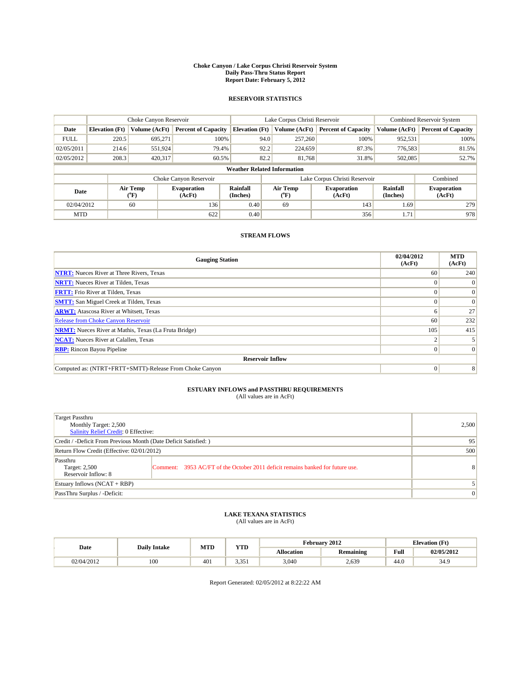#### **Choke Canyon / Lake Corpus Christi Reservoir System Daily Pass-Thru Status Report Report Date: February 5, 2012**

### **RESERVOIR STATISTICS**

|             | Choke Canyon Reservoir             |                             |                              |                             | Lake Corpus Christi Reservoir |         |                               |                      | Combined Reservoir System    |  |
|-------------|------------------------------------|-----------------------------|------------------------------|-----------------------------|-------------------------------|---------|-------------------------------|----------------------|------------------------------|--|
| Date        | <b>Elevation</b> (Ft)              | <b>Volume (AcFt)</b>        | <b>Percent of Capacity</b>   | <b>Elevation</b> (Ft)       | Volume (AcFt)                 |         | <b>Percent of Capacity</b>    | Volume (AcFt)        | <b>Percent of Capacity</b>   |  |
| <b>FULL</b> | 220.5                              | 695,271                     | 100%                         |                             | 94.0                          | 257,260 | 100%                          | 952,531              | 100%                         |  |
| 02/05/2011  | 214.6                              | 551,924                     | 79.4%                        |                             | 92.2                          | 224,659 | 87.3%                         | 776,583              | 81.5%                        |  |
| 02/05/2012  | 208.3                              | 420,317                     | 60.5%                        |                             | 82.2                          | 81,768  | 31.8%                         | 502,085              | 52.7%                        |  |
|             | <b>Weather Related Information</b> |                             |                              |                             |                               |         |                               |                      |                              |  |
|             |                                    |                             | Choke Canyon Reservoir       |                             |                               |         | Lake Corpus Christi Reservoir |                      | Combined                     |  |
| Date        |                                    | Air Temp<br>${}^{\circ}$ F) | <b>Evaporation</b><br>(AcFt) | <b>Rainfall</b><br>(Inches) | Air Temp<br>$(^oF)$           |         | <b>Evaporation</b><br>(AcFt)  | Rainfall<br>(Inches) | <b>Evaporation</b><br>(AcFt) |  |
| 02/04/2012  |                                    | 60                          | 136                          | 0.40                        | 69                            |         | 143                           | 1.69                 | 279                          |  |
| <b>MTD</b>  |                                    |                             | 622                          | 0.40                        |                               |         | 356                           | 1.71                 | 978                          |  |

### **STREAM FLOWS**

| <b>Gauging Station</b>                                       | 02/04/2012<br>(AcFt) | <b>MTD</b><br>(AcFt) |
|--------------------------------------------------------------|----------------------|----------------------|
| <b>NTRT:</b> Nueces River at Three Rivers, Texas             | 60                   | 240                  |
| <b>NRTT:</b> Nueces River at Tilden, Texas                   |                      |                      |
| <b>FRTT:</b> Frio River at Tilden, Texas                     |                      | $\Omega$             |
| <b>SMTT:</b> San Miguel Creek at Tilden, Texas               |                      | $\Omega$             |
| <b>ARWT:</b> Atascosa River at Whitsett, Texas               | n                    | 27                   |
| <b>Release from Choke Canyon Reservoir</b>                   | 60                   | 232                  |
| <b>NRMT:</b> Nueces River at Mathis, Texas (La Fruta Bridge) | 105                  | 415                  |
| <b>NCAT:</b> Nueces River at Calallen, Texas                 |                      |                      |
| <b>RBP:</b> Rincon Bayou Pipeline                            | $\Omega$             | $\Omega$             |
| <b>Reservoir Inflow</b>                                      |                      |                      |
| Computed as: (NTRT+FRTT+SMTT)-Release From Choke Canyon      | $\Omega$             | 8                    |

# **ESTUARY INFLOWS and PASSTHRU REQUIREMENTS**<br>(All values are in AcFt)

| Target Passthru<br>Monthly Target: 2,500<br>Salinity Relief Credit: 0 Effective: |                                                                                | 2,500        |
|----------------------------------------------------------------------------------|--------------------------------------------------------------------------------|--------------|
| Credit / -Deficit From Previous Month (Date Deficit Satisfied: )                 | 95                                                                             |              |
| Return Flow Credit (Effective: 02/01/2012)                                       | 500                                                                            |              |
| Passthru<br>Target: 2,500<br>Reservoir Inflow: 8                                 | Comment: 3953 AC/FT of the October 2011 deficit remains banked for future use. | 8            |
| Estuary Inflows (NCAT + RBP)                                                     |                                                                                |              |
| PassThru Surplus / -Deficit:                                                     |                                                                                | $\mathbf{0}$ |

## **LAKE TEXANA STATISTICS** (All values are in AcFt)

| Date       | <b>Daily Intake</b> | <b>MTD</b> | <b>YTD</b>          | February 2012     |                  |      | <b>Elevation</b> (Ft) |  |
|------------|---------------------|------------|---------------------|-------------------|------------------|------|-----------------------|--|
|            |                     |            |                     | <b>Allocation</b> | <b>Remaining</b> | Full | 02/05/2012            |  |
| 02/04/2012 | 100                 | 401        | 3 351<br><u>. 1</u> | 3,040             | 2,639            | 44.0 | 34.9                  |  |

Report Generated: 02/05/2012 at 8:22:22 AM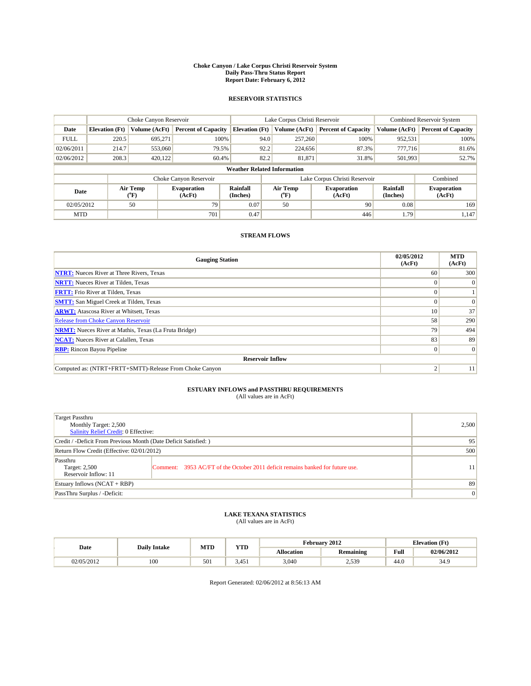#### **Choke Canyon / Lake Corpus Christi Reservoir System Daily Pass-Thru Status Report Report Date: February 6, 2012**

### **RESERVOIR STATISTICS**

|             | Choke Canyon Reservoir             |                      |                              |                             | Lake Corpus Christi Reservoir | <b>Combined Reservoir System</b> |                      |                              |  |  |
|-------------|------------------------------------|----------------------|------------------------------|-----------------------------|-------------------------------|----------------------------------|----------------------|------------------------------|--|--|
| Date        | <b>Elevation</b> (Ft)              | <b>Volume (AcFt)</b> | <b>Percent of Capacity</b>   | <b>Elevation</b> (Ft)       | Volume (AcFt)                 | <b>Percent of Capacity</b>       | Volume (AcFt)        | <b>Percent of Capacity</b>   |  |  |
| <b>FULL</b> | 220.5                              | 695,271              | 100%                         | 94.0                        | 257,260                       | 100%                             | 952,531              | 100%                         |  |  |
| 02/06/2011  | 214.7                              | 553,060              | 79.5%                        | 92.2                        | 224,656                       | 87.3%                            | 777,716              | 81.6%                        |  |  |
| 02/06/2012  | 208.3                              | 420,122              | 60.4%                        | 82.2                        | 81,871                        | 31.8%                            | 501,993              | 52.7%                        |  |  |
|             | <b>Weather Related Information</b> |                      |                              |                             |                               |                                  |                      |                              |  |  |
|             |                                    |                      | Choke Canyon Reservoir       |                             |                               | Lake Corpus Christi Reservoir    |                      | Combined                     |  |  |
| Date        |                                    | Air Temp<br>(°F)     | <b>Evaporation</b><br>(AcFt) | <b>Rainfall</b><br>(Inches) | Air Temp<br>(°F)              | <b>Evaporation</b><br>(AcFt)     | Rainfall<br>(Inches) | <b>Evaporation</b><br>(AcFt) |  |  |
| 02/05/2012  |                                    | 50                   | 79                           | 0.07                        | 50                            | 90                               | 0.08                 | 169                          |  |  |
| <b>MTD</b>  |                                    |                      | 701                          | 0.47                        |                               | 446                              | 1.79                 | 1.147                        |  |  |

### **STREAM FLOWS**

| <b>Gauging Station</b>                                       | 02/05/2012<br>(AcFt) | <b>MTD</b><br>(AcFt) |
|--------------------------------------------------------------|----------------------|----------------------|
| <b>NTRT:</b> Nueces River at Three Rivers, Texas             | 60                   | 300                  |
| <b>NRTT:</b> Nueces River at Tilden, Texas                   |                      | $\overline{0}$       |
| <b>FRTT:</b> Frio River at Tilden, Texas                     |                      |                      |
| <b>SMTT:</b> San Miguel Creek at Tilden, Texas               |                      | $\Omega$             |
| <b>ARWT:</b> Atascosa River at Whitsett, Texas               | 10                   | 37                   |
| <b>Release from Choke Canyon Reservoir</b>                   | 58                   | 290                  |
| <b>NRMT:</b> Nueces River at Mathis, Texas (La Fruta Bridge) | 79                   | 494                  |
| <b>NCAT:</b> Nueces River at Calallen, Texas                 | 83                   | 89                   |
| <b>RBP:</b> Rincon Bayou Pipeline                            | $\theta$             | $\vert 0 \vert$      |
| <b>Reservoir Inflow</b>                                      |                      |                      |
| Computed as: (NTRT+FRTT+SMTT)-Release From Choke Canyon      | σ                    | 11                   |

# **ESTUARY INFLOWS and PASSTHRU REQUIREMENTS**<br>(All values are in AcFt)

| Target Passthru<br>Monthly Target: 2,500<br>Salinity Relief Credit: 0 Effective: |                                                                                | 2,500 |
|----------------------------------------------------------------------------------|--------------------------------------------------------------------------------|-------|
| Credit / -Deficit From Previous Month (Date Deficit Satisfied: )                 | 95                                                                             |       |
| Return Flow Credit (Effective: 02/01/2012)                                       | 500                                                                            |       |
| Passthru<br>Target: 2,500<br>Reservoir Inflow: 11                                | Comment: 3953 AC/FT of the October 2011 deficit remains banked for future use. | 11    |
| Estuary Inflows (NCAT + RBP)                                                     |                                                                                | 89    |
| PassThru Surplus / -Deficit:                                                     | $\vert 0 \vert$                                                                |       |

## **LAKE TEXANA STATISTICS** (All values are in AcFt)

| Date       | <b>Daily Intake</b> | MTD | <b>YTD</b> | February 2012<br><b>Elevation</b> (Ft) |                  |                                             |            |
|------------|---------------------|-----|------------|----------------------------------------|------------------|---------------------------------------------|------------|
|            |                     |     |            | <b>Allocation</b>                      | <b>Remaining</b> | Full<br>the state of the state of the state | 02/06/2012 |
| 02/05/2012 | 100                 | 50  | 3.451      | 3,040                                  | 2,539            | -44.U                                       | 34.9       |

Report Generated: 02/06/2012 at 8:56:13 AM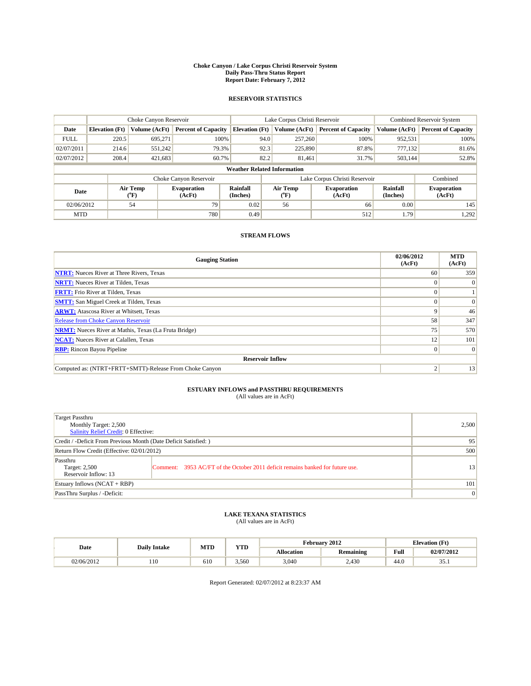#### **Choke Canyon / Lake Corpus Christi Reservoir System Daily Pass-Thru Status Report Report Date: February 7, 2012**

### **RESERVOIR STATISTICS**

|             | Choke Canyon Reservoir             |                      |                              |                             | Lake Corpus Christi Reservoir | <b>Combined Reservoir System</b> |                      |                              |  |  |
|-------------|------------------------------------|----------------------|------------------------------|-----------------------------|-------------------------------|----------------------------------|----------------------|------------------------------|--|--|
| Date        | <b>Elevation</b> (Ft)              | <b>Volume (AcFt)</b> | <b>Percent of Capacity</b>   | <b>Elevation</b> (Ft)       | Volume (AcFt)                 | <b>Percent of Capacity</b>       | Volume (AcFt)        | <b>Percent of Capacity</b>   |  |  |
| <b>FULL</b> | 220.5                              | 695,271              | 100%                         | 94.0                        | 257,260                       | 100%                             | 952,531              | 100%                         |  |  |
| 02/07/2011  | 214.6                              | 551,242              | 79.3%                        | 92.3                        | 225,890                       | 87.8%                            | 777,132              | 81.6%                        |  |  |
| 02/07/2012  | 208.4                              | 421,683              | 60.7%                        | 82.2                        | 81.461                        | 31.7%                            | 503,144              | 52.8%                        |  |  |
|             | <b>Weather Related Information</b> |                      |                              |                             |                               |                                  |                      |                              |  |  |
|             |                                    |                      | Choke Canyon Reservoir       |                             |                               | Lake Corpus Christi Reservoir    |                      | Combined                     |  |  |
| Date        |                                    | Air Temp<br>(°F)     | <b>Evaporation</b><br>(AcFt) | <b>Rainfall</b><br>(Inches) | Air Temp<br>(°F)              | <b>Evaporation</b><br>(AcFt)     | Rainfall<br>(Inches) | <b>Evaporation</b><br>(AcFt) |  |  |
| 02/06/2012  |                                    | 54                   | 79                           | 0.02                        | 56                            | 66                               | 0.00                 | 145                          |  |  |
| <b>MTD</b>  |                                    |                      | 780                          | 0.49                        |                               | 512                              | 1.79                 | 1,292                        |  |  |

### **STREAM FLOWS**

| <b>Gauging Station</b>                                       | 02/06/2012<br>(AcFt) | <b>MTD</b><br>(AcFt) |
|--------------------------------------------------------------|----------------------|----------------------|
| <b>NTRT:</b> Nueces River at Three Rivers, Texas             | 60                   | 359                  |
| <b>NRTT:</b> Nueces River at Tilden, Texas                   |                      | $\theta$             |
| <b>FRTT:</b> Frio River at Tilden, Texas                     |                      |                      |
| <b>SMTT:</b> San Miguel Creek at Tilden, Texas               |                      | $\Omega$             |
| <b>ARWT:</b> Atascosa River at Whitsett, Texas               | 9                    | 46                   |
| Release from Choke Canyon Reservoir                          | 58                   | 347                  |
| <b>NRMT:</b> Nueces River at Mathis, Texas (La Fruta Bridge) | 75                   | 570                  |
| <b>NCAT:</b> Nueces River at Calallen, Texas                 | 12                   | 101                  |
| <b>RBP:</b> Rincon Bayou Pipeline                            | $\Omega$             | $\Omega$             |
| <b>Reservoir Inflow</b>                                      |                      |                      |
| Computed as: (NTRT+FRTT+SMTT)-Release From Choke Canyon      | ◠                    | 13                   |

# **ESTUARY INFLOWS and PASSTHRU REQUIREMENTS**<br>(All values are in AcFt)

| Target Passthru<br>Monthly Target: 2,500<br>Salinity Relief Credit: 0 Effective: |                                                                                | 2,500 |
|----------------------------------------------------------------------------------|--------------------------------------------------------------------------------|-------|
| Credit / -Deficit From Previous Month (Date Deficit Satisfied: )                 | 95                                                                             |       |
| Return Flow Credit (Effective: 02/01/2012)                                       | 500                                                                            |       |
| Passthru<br>Target: 2,500<br>Reservoir Inflow: 13                                | Comment: 3953 AC/FT of the October 2011 deficit remains banked for future use. | 13    |
| Estuary Inflows (NCAT + RBP)                                                     |                                                                                | 101   |
| PassThru Surplus / -Deficit:                                                     | $\vert 0 \vert$                                                                |       |

## **LAKE TEXANA STATISTICS** (All values are in AcFt)

|            | <b>Daily Intake</b> |     | <b>YTD</b><br><b>MTD</b> | February 2012     |                  |      | <b>Elevation</b> (Ft) |  |  |
|------------|---------------------|-----|--------------------------|-------------------|------------------|------|-----------------------|--|--|
| Date       |                     |     |                          | <b>Allocation</b> | <b>Remaining</b> | Full | 02/07/2012            |  |  |
| 02/06/2012 | 110                 | 610 | 3.560                    | 3,040             | 2,430            | 44.0 | $\sim$ $\sim$<br>JJ.1 |  |  |

Report Generated: 02/07/2012 at 8:23:37 AM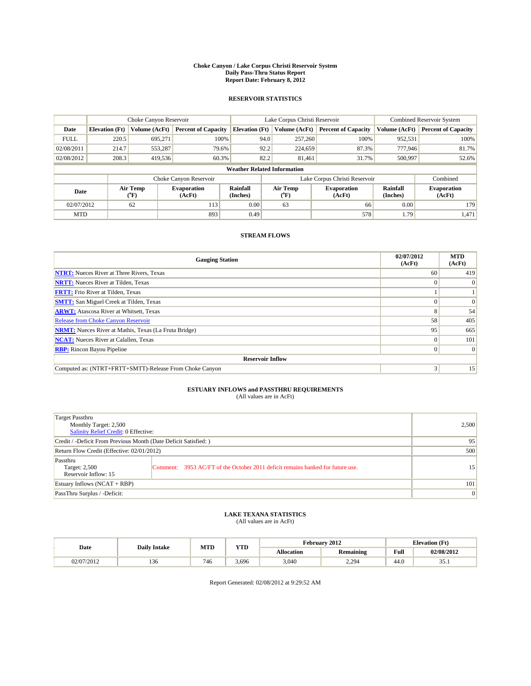#### **Choke Canyon / Lake Corpus Christi Reservoir System Daily Pass-Thru Status Report Report Date: February 8, 2012**

### **RESERVOIR STATISTICS**

|             | Choke Canyon Reservoir             |                                           |                              |                       | Lake Corpus Christi Reservoir | <b>Combined Reservoir System</b> |                      |                              |  |  |
|-------------|------------------------------------|-------------------------------------------|------------------------------|-----------------------|-------------------------------|----------------------------------|----------------------|------------------------------|--|--|
| Date        | <b>Elevation</b> (Ft)              | Volume (AcFt)                             | <b>Percent of Capacity</b>   | <b>Elevation</b> (Ft) | Volume (AcFt)                 | <b>Percent of Capacity</b>       | Volume (AcFt)        | <b>Percent of Capacity</b>   |  |  |
| <b>FULL</b> | 220.5                              | 695.271                                   | 100%                         | 94.0                  | 257,260                       | 100%                             | 952,531              | 100%                         |  |  |
| 02/08/2011  | 214.7                              | 553,287                                   | 79.6%                        | 92.2                  | 224,659                       | 87.3%                            | 777,946              | 81.7%                        |  |  |
| 02/08/2012  | 208.3                              | 419,536                                   | 60.3%                        | 82.2                  | 81.461                        | 31.7%                            | 500,997              | 52.6%                        |  |  |
|             | <b>Weather Related Information</b> |                                           |                              |                       |                               |                                  |                      |                              |  |  |
|             |                                    |                                           | Choke Canyon Reservoir       |                       | Lake Corpus Christi Reservoir |                                  |                      | Combined                     |  |  |
| Date        |                                    | Air Temp<br>$({}^{\mathrm{o}}\mathrm{F})$ | <b>Evaporation</b><br>(AcFt) | Rainfall<br>(Inches)  | Air Temp<br>(°F)              | <b>Evaporation</b><br>(AcFt)     | Rainfall<br>(Inches) | <b>Evaporation</b><br>(AcFt) |  |  |
| 02/07/2012  |                                    | 62                                        | 113                          | 0.00                  | 63                            | 66                               | 0.00                 | 179                          |  |  |
| <b>MTD</b>  |                                    |                                           | 893                          | 0.49                  |                               | 578                              | 1.79                 | 1,471                        |  |  |

### **STREAM FLOWS**

| <b>Gauging Station</b>                                       | 02/07/2012<br>(AcFt) | <b>MTD</b><br>(AcFt) |
|--------------------------------------------------------------|----------------------|----------------------|
| <b>NTRT:</b> Nueces River at Three Rivers, Texas             | 60                   | 419                  |
| <b>NRTT:</b> Nueces River at Tilden, Texas                   | $\theta$             |                      |
| <b>FRTT:</b> Frio River at Tilden, Texas                     |                      |                      |
| <b>SMTT:</b> San Miguel Creek at Tilden, Texas               |                      | $\Omega$             |
| <b>ARWT:</b> Atascosa River at Whitsett, Texas               | 8                    | 54                   |
| <b>Release from Choke Canyon Reservoir</b>                   | 58                   | 405                  |
| <b>NRMT:</b> Nueces River at Mathis, Texas (La Fruta Bridge) | 95                   | 665                  |
| <b>NCAT:</b> Nueces River at Calallen, Texas                 | $\Omega$             | 101                  |
| <b>RBP:</b> Rincon Bayou Pipeline                            | $\Omega$             | $\Omega$             |
| <b>Reservoir Inflow</b>                                      |                      |                      |
| Computed as: (NTRT+FRTT+SMTT)-Release From Choke Canyon      | 3                    | 15                   |

# **ESTUARY INFLOWS and PASSTHRU REQUIREMENTS**<br>(All values are in AcFt)

| Target Passthru<br>Monthly Target: 2,500<br>Salinity Relief Credit: 0 Effective: |                                                                                | 2,500 |
|----------------------------------------------------------------------------------|--------------------------------------------------------------------------------|-------|
| Credit / -Deficit From Previous Month (Date Deficit Satisfied: )                 | 95                                                                             |       |
| Return Flow Credit (Effective: 02/01/2012)                                       | 500                                                                            |       |
| Passthru<br>Target: 2,500<br>Reservoir Inflow: 15                                | Comment: 3953 AC/FT of the October 2011 deficit remains banked for future use. | 15    |
| Estuary Inflows (NCAT + RBP)                                                     |                                                                                | 101   |
| PassThru Surplus / -Deficit:                                                     | $\vert 0 \vert$                                                                |       |

## **LAKE TEXANA STATISTICS** (All values are in AcFt)

|            | <b>Daily Intake</b> | MTD | <b>YTD</b> | February 2012<br><b>Elevation</b> (Ft) |                  |                                             |                              |
|------------|---------------------|-----|------------|----------------------------------------|------------------|---------------------------------------------|------------------------------|
| Date       |                     |     |            | <b>Allocation</b>                      | <b>Remaining</b> | Full<br>the state of the state of the state | 02/08/2012                   |
| 02/07/2012 | 136                 | 746 | 3.696      | 3,040                                  | 2,294            | 44.0                                        | $\sim$ $\sim$<br><b>JJ.I</b> |

Report Generated: 02/08/2012 at 9:29:52 AM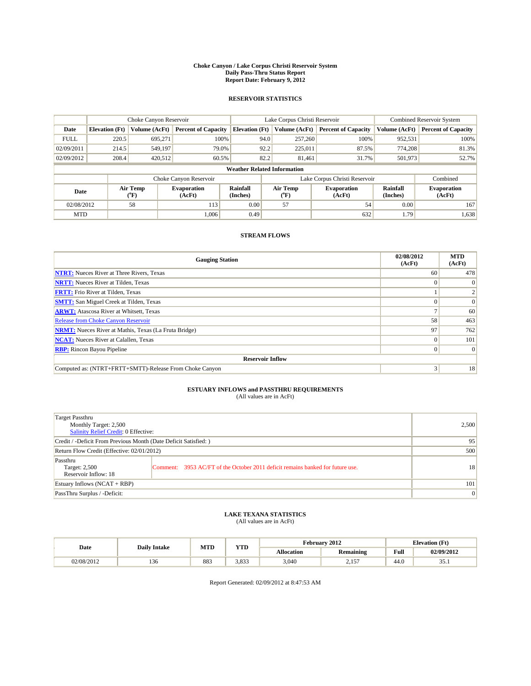#### **Choke Canyon / Lake Corpus Christi Reservoir System Daily Pass-Thru Status Report Report Date: February 9, 2012**

### **RESERVOIR STATISTICS**

|             | Choke Canyon Reservoir             |                                           |                              |                       | Lake Corpus Christi Reservoir | <b>Combined Reservoir System</b> |                      |                              |  |  |
|-------------|------------------------------------|-------------------------------------------|------------------------------|-----------------------|-------------------------------|----------------------------------|----------------------|------------------------------|--|--|
| Date        | <b>Elevation</b> (Ft)              | Volume (AcFt)                             | <b>Percent of Capacity</b>   | <b>Elevation</b> (Ft) | Volume (AcFt)                 | <b>Percent of Capacity</b>       | Volume (AcFt)        | <b>Percent of Capacity</b>   |  |  |
| <b>FULL</b> | 220.5                              | 695,271                                   | 100%                         | 94.0                  | 257,260                       | 100%                             | 952,531              | 100%                         |  |  |
| 02/09/2011  | 214.5                              | 549.197                                   | 79.0%                        | 92.2                  | 225,011                       | 87.5%                            | 774.208              | 81.3%                        |  |  |
| 02/09/2012  | 208.4                              | 420,512                                   | 60.5%                        | 82.2                  | 81.461                        | 31.7%                            | 501,973              | 52.7%                        |  |  |
|             | <b>Weather Related Information</b> |                                           |                              |                       |                               |                                  |                      |                              |  |  |
|             |                                    |                                           | Choke Canyon Reservoir       |                       | Lake Corpus Christi Reservoir |                                  |                      | Combined                     |  |  |
| Date        |                                    | Air Temp<br>$({}^{\mathrm{o}}\mathrm{F})$ | <b>Evaporation</b><br>(AcFt) | Rainfall<br>(Inches)  | Air Temp<br>(°F)              | <b>Evaporation</b><br>(AcFt)     | Rainfall<br>(Inches) | <b>Evaporation</b><br>(AcFt) |  |  |
| 02/08/2012  |                                    | 58                                        | 113                          | 0.00                  | 57                            | 54                               | 0.00                 | 167                          |  |  |
| <b>MTD</b>  |                                    |                                           | 1.006                        | 0.49                  |                               | 632                              | 1.79                 | 1,638                        |  |  |

### **STREAM FLOWS**

| <b>Gauging Station</b>                                       | 02/08/2012<br>(AcFt) | <b>MTD</b><br>(AcFt) |  |  |  |  |  |
|--------------------------------------------------------------|----------------------|----------------------|--|--|--|--|--|
| <b>NTRT:</b> Nueces River at Three Rivers, Texas             | 60                   | 478                  |  |  |  |  |  |
| <b>NRTT:</b> Nueces River at Tilden, Texas                   | $\Omega$             |                      |  |  |  |  |  |
| <b>FRTT:</b> Frio River at Tilden, Texas                     |                      |                      |  |  |  |  |  |
| <b>SMTT:</b> San Miguel Creek at Tilden, Texas               |                      | $\Omega$             |  |  |  |  |  |
| <b>ARWT:</b> Atascosa River at Whitsett, Texas               |                      | 60                   |  |  |  |  |  |
| <b>Release from Choke Canyon Reservoir</b>                   | 58                   | 463                  |  |  |  |  |  |
| <b>NRMT:</b> Nueces River at Mathis, Texas (La Fruta Bridge) | 97                   | 762                  |  |  |  |  |  |
| <b>NCAT:</b> Nueces River at Calallen, Texas                 | $\Omega$             | 101                  |  |  |  |  |  |
| <b>RBP:</b> Rincon Bayou Pipeline                            | $\overline{0}$       | $\Omega$             |  |  |  |  |  |
| <b>Reservoir Inflow</b>                                      |                      |                      |  |  |  |  |  |
| Computed as: (NTRT+FRTT+SMTT)-Release From Choke Canyon      | 3                    | 18                   |  |  |  |  |  |

# **ESTUARY INFLOWS and PASSTHRU REQUIREMENTS**<br>(All values are in AcFt)

| Target Passthru<br>Monthly Target: 2,500<br>Salinity Relief Credit: 0 Effective: |                                                                                | 2,500 |
|----------------------------------------------------------------------------------|--------------------------------------------------------------------------------|-------|
| Credit / -Deficit From Previous Month (Date Deficit Satisfied: )                 | 95                                                                             |       |
| Return Flow Credit (Effective: 02/01/2012)                                       | 500                                                                            |       |
| Passthru<br>Target: 2,500<br>Reservoir Inflow: 18                                | Comment: 3953 AC/FT of the October 2011 deficit remains banked for future use. | 18    |
| Estuary Inflows (NCAT + RBP)                                                     |                                                                                | 101   |
| PassThru Surplus / -Deficit:                                                     | $\vert 0 \vert$                                                                |       |

## **LAKE TEXANA STATISTICS** (All values are in AcFt)

|            | <b>Daily Intake</b> | <b>MTD</b> | <b>YTD</b> | February 2012<br><b>Elevation</b> (Ft) |                  |      |                       |
|------------|---------------------|------------|------------|----------------------------------------|------------------|------|-----------------------|
| Date       |                     |            |            | <b>Allocation</b>                      | <b>Remaining</b> | Full | 02/09/2012            |
| 02/08/2012 | 136                 | 883        | 3.833      | 3,040                                  | 157<br>سيست      | 44.0 | $\sim$ $\sim$<br>JJ.1 |

Report Generated: 02/09/2012 at 8:47:53 AM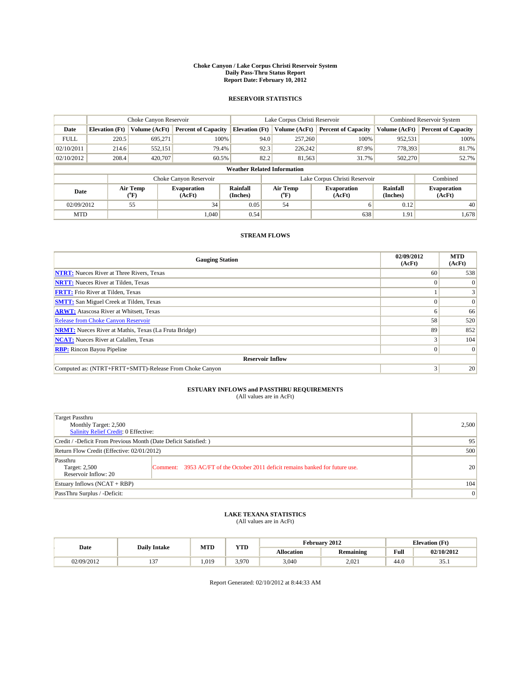#### **Choke Canyon / Lake Corpus Christi Reservoir System Daily Pass-Thru Status Report Report Date: February 10, 2012**

### **RESERVOIR STATISTICS**

|             | Choke Canyon Reservoir             |                      |                              |                             | Lake Corpus Christi Reservoir | <b>Combined Reservoir System</b> |                      |                              |  |  |
|-------------|------------------------------------|----------------------|------------------------------|-----------------------------|-------------------------------|----------------------------------|----------------------|------------------------------|--|--|
| Date        | <b>Elevation</b> (Ft)              | <b>Volume (AcFt)</b> | <b>Percent of Capacity</b>   | <b>Elevation</b> (Ft)       | Volume (AcFt)                 | <b>Percent of Capacity</b>       | Volume (AcFt)        | <b>Percent of Capacity</b>   |  |  |
| <b>FULL</b> | 220.5                              | 695,271              | 100%                         | 94.0                        | 257,260                       | 100%                             | 952,531              | 100%                         |  |  |
| 02/10/2011  | 214.6                              | 552,151              | 79.4%                        | 92.3                        | 226,242                       | 87.9%                            | 778,393              | 81.7%                        |  |  |
| 02/10/2012  | 208.4                              | 420,707              | 60.5%                        | 82.2                        | 81,563                        | 31.7%                            | 502,270              | 52.7%                        |  |  |
|             | <b>Weather Related Information</b> |                      |                              |                             |                               |                                  |                      |                              |  |  |
|             |                                    |                      | Choke Canyon Reservoir       |                             | Lake Corpus Christi Reservoir |                                  |                      | Combined                     |  |  |
| Date        |                                    | Air Temp<br>(°F)     | <b>Evaporation</b><br>(AcFt) | <b>Rainfall</b><br>(Inches) | Air Temp<br>(°F)              | <b>Evaporation</b><br>(AcFt)     | Rainfall<br>(Inches) | <b>Evaporation</b><br>(AcFt) |  |  |
| 02/09/2012  |                                    | 55                   | 34                           | 0.05                        | 54                            | 6                                | 0.12                 | 40                           |  |  |
| <b>MTD</b>  |                                    |                      | 1.040                        | 0.54                        |                               | 638                              | 1.91                 | 1,678                        |  |  |

### **STREAM FLOWS**

| <b>Gauging Station</b>                                       | 02/09/2012<br>(AcFt) | <b>MTD</b><br>(AcFt) |
|--------------------------------------------------------------|----------------------|----------------------|
| <b>NTRT:</b> Nueces River at Three Rivers, Texas             | 60                   | 538                  |
| <b>NRTT:</b> Nueces River at Tilden, Texas                   | $\Omega$             |                      |
| <b>FRTT:</b> Frio River at Tilden, Texas                     |                      |                      |
| <b>SMTT:</b> San Miguel Creek at Tilden, Texas               |                      | $\Omega$             |
| <b>ARWT:</b> Atascosa River at Whitsett, Texas               | n                    | 66                   |
| Release from Choke Canyon Reservoir                          | 58                   | 520                  |
| <b>NRMT:</b> Nueces River at Mathis, Texas (La Fruta Bridge) | 89                   | 852                  |
| <b>NCAT:</b> Nueces River at Calallen, Texas                 |                      | 104                  |
| <b>RBP:</b> Rincon Bayou Pipeline                            | $\Omega$             | $\Omega$             |
| <b>Reservoir Inflow</b>                                      |                      |                      |
| Computed as: (NTRT+FRTT+SMTT)-Release From Choke Canyon      | 3                    | 20                   |

# **ESTUARY INFLOWS and PASSTHRU REQUIREMENTS**<br>(All values are in AcFt)

| Target Passthru<br>Monthly Target: 2,500<br>Salinity Relief Credit: 0 Effective: |                                                                                | 2,500 |
|----------------------------------------------------------------------------------|--------------------------------------------------------------------------------|-------|
| Credit / -Deficit From Previous Month (Date Deficit Satisfied: )                 | 95                                                                             |       |
| Return Flow Credit (Effective: 02/01/2012)                                       | 500                                                                            |       |
| Passthru<br>Target: 2,500<br>Reservoir Inflow: 20                                | Comment: 3953 AC/FT of the October 2011 deficit remains banked for future use. | 20    |
| Estuary Inflows (NCAT + RBP)                                                     |                                                                                | 104   |
| PassThru Surplus / -Deficit:                                                     | $\vert 0 \vert$                                                                |       |

## **LAKE TEXANA STATISTICS** (All values are in AcFt)

|            | <b>Daily Intake</b> | <b>MTD</b> | <b>YTD</b> | February 2012<br><b>Elevation</b> (Ft) |                  |      |                       |
|------------|---------------------|------------|------------|----------------------------------------|------------------|------|-----------------------|
| Date       |                     |            |            | <b>Allocation</b>                      | <b>Remaining</b> | Full | 02/10/2012            |
| 02/09/2012 | $\sim$<br>. .       | .019       | 3.970      | 3,040                                  | 2.021            | 44.0 | $\sim$ $\sim$<br>JJ.1 |

Report Generated: 02/10/2012 at 8:44:33 AM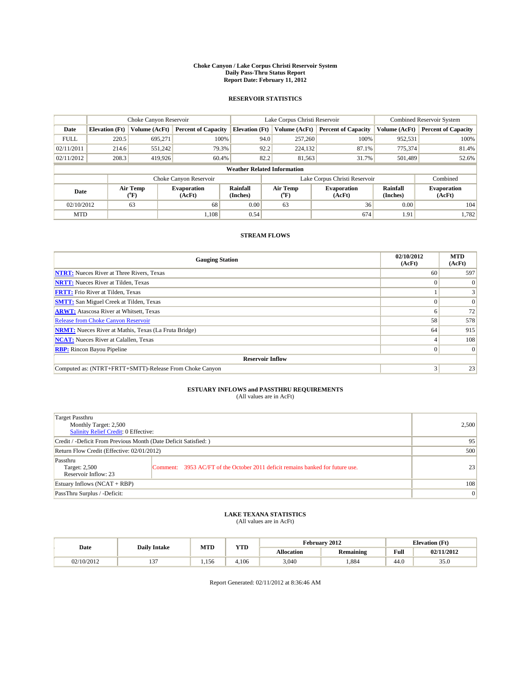#### **Choke Canyon / Lake Corpus Christi Reservoir System Daily Pass-Thru Status Report Report Date: February 11, 2012**

### **RESERVOIR STATISTICS**

|                                    | Choke Canyon Reservoir |                                           |                              |                       | Lake Corpus Christi Reservoir     | Combined Reservoir System    |                             |                              |  |
|------------------------------------|------------------------|-------------------------------------------|------------------------------|-----------------------|-----------------------------------|------------------------------|-----------------------------|------------------------------|--|
| Date                               | <b>Elevation</b> (Ft)  | Volume (AcFt)                             | <b>Percent of Capacity</b>   | <b>Elevation</b> (Ft) | Volume (AcFt)                     | <b>Percent of Capacity</b>   | Volume (AcFt)               | <b>Percent of Capacity</b>   |  |
| <b>FULL</b>                        | 220.5                  | 695,271                                   | 100%                         | 94.0                  | 257,260                           | 100%                         | 952,531                     | 100%                         |  |
| 02/11/2011                         | 214.6                  | 551,242                                   | 79.3%                        | 92.2                  | 224,132                           | 87.1%                        | 775,374                     | 81.4%                        |  |
| 02/11/2012                         | 208.3                  | 419.926                                   | 60.4%                        | 82.2                  | 81,563                            | 31.7%                        | 501,489                     | 52.6%                        |  |
| <b>Weather Related Information</b> |                        |                                           |                              |                       |                                   |                              |                             |                              |  |
|                                    |                        |                                           | Choke Canyon Reservoir       |                       | Lake Corpus Christi Reservoir     |                              |                             | Combined                     |  |
| Date                               |                        | Air Temp<br>$({}^{\mathrm{o}}\mathrm{F})$ | <b>Evaporation</b><br>(AcFt) | Rainfall<br>(Inches)  | Air Temp<br>$({}^{\circ}{\rm F})$ | <b>Evaporation</b><br>(AcFt) | <b>Rainfall</b><br>(Inches) | <b>Evaporation</b><br>(AcFt) |  |
| 02/10/2012                         |                        | 63                                        | 68                           | 0.00                  | 63                                | 36                           | 0.00                        | 104                          |  |
| <b>MTD</b>                         |                        |                                           | 1.108                        | 0.54                  |                                   | 674                          | 1.91                        | 1,782                        |  |

### **STREAM FLOWS**

| <b>Gauging Station</b>                                       | 02/10/2012<br>(AcFt) | <b>MTD</b><br>(AcFt) |
|--------------------------------------------------------------|----------------------|----------------------|
| <b>NTRT:</b> Nueces River at Three Rivers, Texas             | 60                   | 597                  |
| <b>NRTT:</b> Nueces River at Tilden, Texas                   | $\Omega$             | $\theta$             |
| <b>FRTT:</b> Frio River at Tilden, Texas                     |                      |                      |
| <b>SMTT:</b> San Miguel Creek at Tilden, Texas               |                      | $\Omega$             |
| <b>ARWT:</b> Atascosa River at Whitsett, Texas               | o                    | 72                   |
| Release from Choke Canyon Reservoir                          | 58                   | 578                  |
| <b>NRMT:</b> Nueces River at Mathis, Texas (La Fruta Bridge) | 64                   | 915                  |
| <b>NCAT:</b> Nueces River at Calallen, Texas                 |                      | 108                  |
| <b>RBP:</b> Rincon Bayou Pipeline                            | $\Omega$             | $\Omega$             |
| <b>Reservoir Inflow</b>                                      |                      |                      |
| Computed as: (NTRT+FRTT+SMTT)-Release From Choke Canyon      | 3                    | 23                   |

# **ESTUARY INFLOWS and PASSTHRU REQUIREMENTS**<br>(All values are in AcFt)

| Target Passthru<br>Monthly Target: 2,500<br>Salinity Relief Credit: 0 Effective: |                                                                                | 2,500 |
|----------------------------------------------------------------------------------|--------------------------------------------------------------------------------|-------|
| Credit / -Deficit From Previous Month (Date Deficit Satisfied: )                 | 95                                                                             |       |
| Return Flow Credit (Effective: 02/01/2012)                                       | 500                                                                            |       |
| Passthru<br>Target: 2,500<br>Reservoir Inflow: 23                                | Comment: 3953 AC/FT of the October 2011 deficit remains banked for future use. | 23    |
| Estuary Inflows (NCAT + RBP)                                                     |                                                                                | 108   |
| PassThru Surplus / -Deficit:                                                     | $\vert 0 \vert$                                                                |       |

## **LAKE TEXANA STATISTICS** (All values are in AcFt)

|            | <b>Daily Intake</b> | <b>MTD</b> | <b>YTD</b> | February 2012<br><b>Elevation</b> (Ft) |                  |      |            |
|------------|---------------------|------------|------------|----------------------------------------|------------------|------|------------|
| Date       |                     |            |            | <b>Allocation</b>                      | <b>Remaining</b> | Full | 02/11/2012 |
| 02/10/2012 | $\sim$<br>. .       | 1.156      | 4.106      | 3,040                                  | .884             | 44.0 | 35.0       |

Report Generated: 02/11/2012 at 8:36:46 AM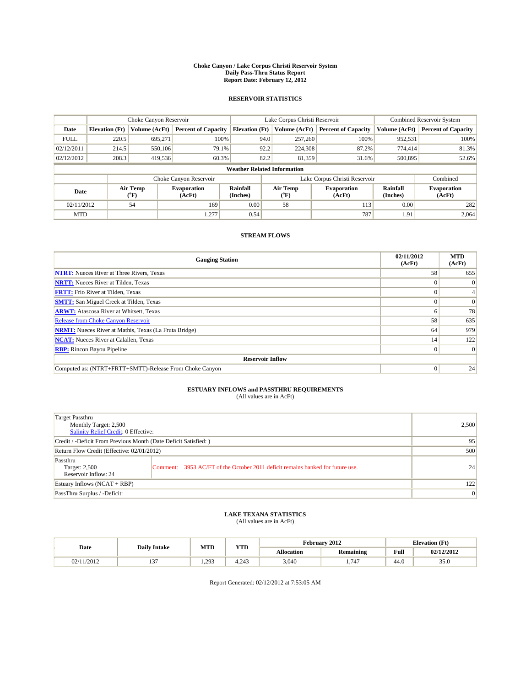#### **Choke Canyon / Lake Corpus Christi Reservoir System Daily Pass-Thru Status Report Report Date: February 12, 2012**

### **RESERVOIR STATISTICS**

|             | Choke Canyon Reservoir             |                             |                              |                             | Lake Corpus Christi Reservoir | <b>Combined Reservoir System</b> |                      |                              |  |  |
|-------------|------------------------------------|-----------------------------|------------------------------|-----------------------------|-------------------------------|----------------------------------|----------------------|------------------------------|--|--|
| Date        | <b>Elevation</b> (Ft)              | Volume (AcFt)               | <b>Percent of Capacity</b>   | <b>Elevation</b> (Ft)       | Volume (AcFt)                 | <b>Percent of Capacity</b>       | Volume (AcFt)        | <b>Percent of Capacity</b>   |  |  |
| <b>FULL</b> | 220.5                              | 695,271                     | 100%                         | 94.0                        | 257,260                       | 100%                             | 952,531              | 100%                         |  |  |
| 02/12/2011  | 214.5                              | 550,106                     | 79.1%                        | 92.2                        | 224,308                       | 87.2%                            | 774,414              | 81.3%                        |  |  |
| 02/12/2012  | 208.3                              | 419,536                     | 60.3%                        | 82.2                        | 81.359                        | 31.6%                            | 500,895              | 52.6%                        |  |  |
|             | <b>Weather Related Information</b> |                             |                              |                             |                               |                                  |                      |                              |  |  |
|             |                                    |                             | Choke Canyon Reservoir       |                             | Lake Corpus Christi Reservoir |                                  |                      | Combined                     |  |  |
| Date        |                                    | Air Temp<br>${}^{\circ}$ F) | <b>Evaporation</b><br>(AcFt) | <b>Rainfall</b><br>(Inches) | Air Temp<br>(°F)              | <b>Evaporation</b><br>(AcFt)     | Rainfall<br>(Inches) | <b>Evaporation</b><br>(AcFt) |  |  |
| 02/11/2012  |                                    | 54                          | 169                          | 0.00                        | 58                            | 113                              | 0.00                 | 282                          |  |  |
| <b>MTD</b>  |                                    |                             | 1,277                        | 0.54                        |                               | 787                              | 1.91                 | 2,064                        |  |  |

### **STREAM FLOWS**

| <b>Gauging Station</b>                                       | 02/11/2012<br>(AcFt) | <b>MTD</b><br>(AcFt) |
|--------------------------------------------------------------|----------------------|----------------------|
| <b>NTRT:</b> Nueces River at Three Rivers, Texas             | 58                   | 655                  |
| <b>NRTT:</b> Nueces River at Tilden, Texas                   |                      |                      |
| <b>FRTT:</b> Frio River at Tilden, Texas                     |                      |                      |
| <b>SMTT:</b> San Miguel Creek at Tilden, Texas               |                      | $\Omega$             |
| <b>ARWT:</b> Atascosa River at Whitsett, Texas               | n                    | 78                   |
| Release from Choke Canyon Reservoir                          | 58                   | 635                  |
| <b>NRMT:</b> Nueces River at Mathis, Texas (La Fruta Bridge) | 64                   | 979                  |
| <b>NCAT:</b> Nueces River at Calallen, Texas                 | 14                   | 122                  |
| <b>RBP:</b> Rincon Bayou Pipeline                            | $\overline{0}$       | $\Omega$             |
| <b>Reservoir Inflow</b>                                      |                      |                      |
| Computed as: (NTRT+FRTT+SMTT)-Release From Choke Canyon      | $\Omega$             | 24                   |

# **ESTUARY INFLOWS and PASSTHRU REQUIREMENTS**<br>(All values are in AcFt)

| Target Passthru<br>Monthly Target: 2,500<br>Salinity Relief Credit: 0 Effective: |                                                                                | 2,500 |
|----------------------------------------------------------------------------------|--------------------------------------------------------------------------------|-------|
| Credit / -Deficit From Previous Month (Date Deficit Satisfied: )                 | 95                                                                             |       |
| Return Flow Credit (Effective: 02/01/2012)                                       | 500                                                                            |       |
| Passthru<br>Target: 2,500<br>Reservoir Inflow: 24                                | Comment: 3953 AC/FT of the October 2011 deficit remains banked for future use. | 24    |
| Estuary Inflows (NCAT + RBP)                                                     | 122                                                                            |       |
| PassThru Surplus / -Deficit:                                                     | $\vert 0 \vert$                                                                |       |

## **LAKE TEXANA STATISTICS** (All values are in AcFt)

|            | <b>Daily Intake</b> | <b>MTD</b> | <b>YTD</b>    | February 2012<br><b>Elevation</b> (Ft) |                  |      |            |
|------------|---------------------|------------|---------------|----------------------------------------|------------------|------|------------|
| Date       |                     |            |               | <b>Allocation</b>                      | <b>Remaining</b> | Full | 02/12/2012 |
| 02/11/2012 | $\sim$<br>. .       | 1.293      | 0.10<br>4.245 | 3,040                                  | 1.747            | 44.0 | 35.0       |

Report Generated: 02/12/2012 at 7:53:05 AM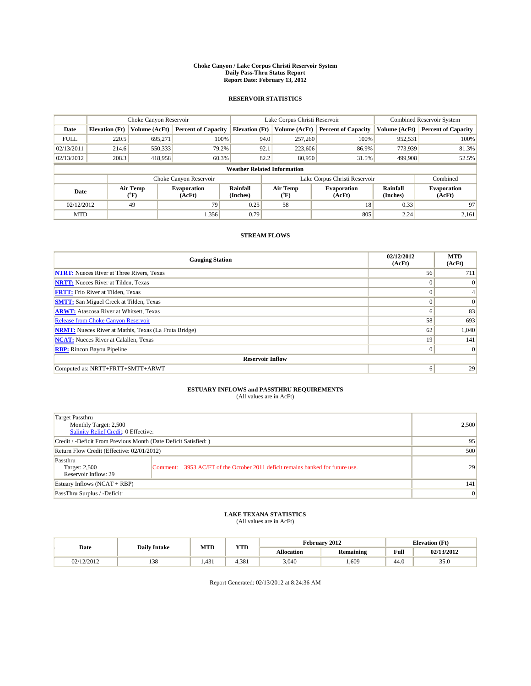#### **Choke Canyon / Lake Corpus Christi Reservoir System Daily Pass-Thru Status Report Report Date: February 13, 2012**

### **RESERVOIR STATISTICS**

|             | Choke Canyon Reservoir             |                          | Lake Corpus Christi Reservoir |                       |                               |                  | <b>Combined Reservoir System</b> |                      |                              |  |  |
|-------------|------------------------------------|--------------------------|-------------------------------|-----------------------|-------------------------------|------------------|----------------------------------|----------------------|------------------------------|--|--|
| Date        | <b>Elevation</b> (Ft)              | Volume (AcFt)            | <b>Percent of Capacity</b>    | <b>Elevation</b> (Ft) |                               | Volume (AcFt)    | <b>Percent of Capacity</b>       | Volume (AcFt)        | <b>Percent of Capacity</b>   |  |  |
| <b>FULL</b> | 220.5                              | 695.271                  | 100%                          |                       | 94.0                          | 257,260          | 100%                             | 952,531              | 100%                         |  |  |
| 02/13/2011  | 214.6                              | 550,333                  | 79.2%                         |                       | 92.1                          | 223,606          | 86.9%                            | 773,939              | 81.3%                        |  |  |
| 02/13/2012  | 208.3                              | 418,958                  | 60.3%                         |                       | 82.2                          | 80.950           | 31.5%                            | 499,908              | 52.5%                        |  |  |
|             | <b>Weather Related Information</b> |                          |                               |                       |                               |                  |                                  |                      |                              |  |  |
|             |                                    |                          | Choke Canyon Reservoir        |                       | Lake Corpus Christi Reservoir |                  |                                  |                      | Combined                     |  |  |
| Date        |                                    | Air Temp<br>$\rm ^{o}F)$ | <b>Evaporation</b><br>(AcFt)  | Rainfall<br>(Inches)  |                               | Air Temp<br>("F) | <b>Evaporation</b><br>(AcFt)     | Rainfall<br>(Inches) | <b>Evaporation</b><br>(AcFt) |  |  |
| 02/12/2012  |                                    | 49                       | 79                            | 0.25                  |                               | 58               | 18                               | 0.33                 | 97                           |  |  |
| <b>MTD</b>  |                                    |                          | 1,356                         | 0.79                  |                               |                  | 805                              | 2.24                 | 2,161                        |  |  |

### **STREAM FLOWS**

| <b>Gauging Station</b>                                       | 02/12/2012<br>(AcFt) | <b>MTD</b><br>(AcFt) |
|--------------------------------------------------------------|----------------------|----------------------|
| <b>NTRT:</b> Nueces River at Three Rivers, Texas             | 56                   | 711                  |
| <b>NRTT:</b> Nueces River at Tilden, Texas                   | $\Omega$             | $\Omega$             |
| <b>FRTT:</b> Frio River at Tilden, Texas                     | $\Omega$             |                      |
| <b>SMTT:</b> San Miguel Creek at Tilden, Texas               | $\Omega$             | $\Omega$             |
| <b>ARWT:</b> Atascosa River at Whitsett, Texas               | 6                    | 83                   |
| <b>Release from Choke Canyon Reservoir</b>                   | 58                   | 693                  |
| <b>NRMT:</b> Nueces River at Mathis, Texas (La Fruta Bridge) | 62                   | 1,040                |
| <b>NCAT:</b> Nueces River at Calallen, Texas                 | 19                   | 141                  |
| <b>RBP:</b> Rincon Bayou Pipeline                            | $\vert 0 \vert$      | $\Omega$             |
| <b>Reservoir Inflow</b>                                      |                      |                      |
| Computed as: NRTT+FRTT+SMTT+ARWT                             | 6                    | 29                   |

# **ESTUARY INFLOWS and PASSTHRU REQUIREMENTS**<br>(All values are in AcFt)

| <b>Target Passthru</b><br>Monthly Target: 2,500<br>Salinity Relief Credit: 0 Effective: |                                                                                | 2,500    |
|-----------------------------------------------------------------------------------------|--------------------------------------------------------------------------------|----------|
| Credit / -Deficit From Previous Month (Date Deficit Satisfied: )                        | 95                                                                             |          |
| Return Flow Credit (Effective: 02/01/2012)                                              | 500                                                                            |          |
| Passthru<br>Target: 2,500<br>Reservoir Inflow: 29                                       | Comment: 3953 AC/FT of the October 2011 deficit remains banked for future use. | 29       |
| Estuary Inflows $(NCAT + RBP)$                                                          |                                                                                | 141      |
| PassThru Surplus / -Deficit:                                                            |                                                                                | $\Omega$ |

# **LAKE TEXANA STATISTICS** (All values are in AcFt)

|            | <b>Daily Intake</b> | <b>MTD</b> | <b>YTD</b> | February 2012     |                  |      | <b>Elevation</b> (Ft) |  |
|------------|---------------------|------------|------------|-------------------|------------------|------|-----------------------|--|
| Date       |                     |            |            | <b>Allocation</b> | <b>Remaining</b> | Full | 02/13/2012            |  |
| 02/12/2012 | 138                 | 1.431      | 4.381      | 3,040             | .,609            | 44.0 | 35.0                  |  |

Report Generated: 02/13/2012 at 8:24:36 AM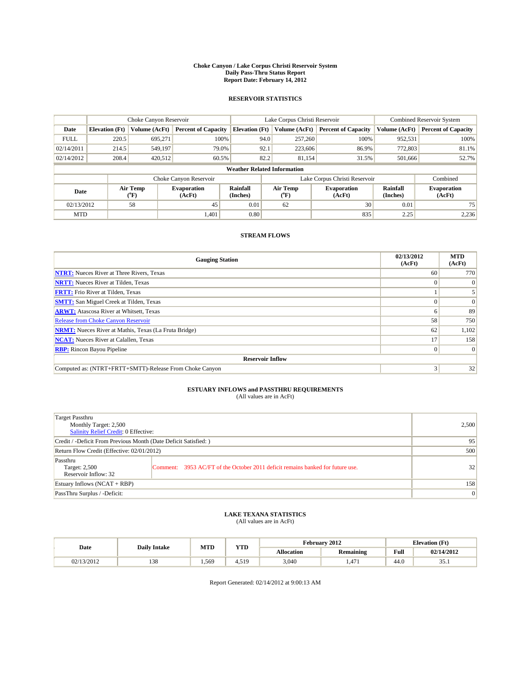#### **Choke Canyon / Lake Corpus Christi Reservoir System Daily Pass-Thru Status Report Report Date: February 14, 2012**

### **RESERVOIR STATISTICS**

|             | Choke Canyon Reservoir             |                  |                              |                       | Lake Corpus Christi Reservoir | <b>Combined Reservoir System</b> |                      |                              |  |  |  |
|-------------|------------------------------------|------------------|------------------------------|-----------------------|-------------------------------|----------------------------------|----------------------|------------------------------|--|--|--|
| Date        | <b>Elevation</b> (Ft)              | Volume (AcFt)    | <b>Percent of Capacity</b>   | <b>Elevation</b> (Ft) | Volume (AcFt)                 | <b>Percent of Capacity</b>       | Volume (AcFt)        | <b>Percent of Capacity</b>   |  |  |  |
| <b>FULL</b> | 220.5                              | 695,271          | 100%                         | 94.0                  | 257,260                       | 100%                             | 952,531              | 100%                         |  |  |  |
| 02/14/2011  | 214.5                              | 549,197          | 79.0%                        | 92.1                  | 223,606                       | 86.9%                            | 772,803              | 81.1%                        |  |  |  |
| 02/14/2012  | 208.4                              | 420,512          | 60.5%                        | 82.2                  | 81.154                        | 31.5%                            | 501,666              | 52.7%                        |  |  |  |
|             | <b>Weather Related Information</b> |                  |                              |                       |                               |                                  |                      |                              |  |  |  |
|             |                                    |                  | Choke Canyon Reservoir       |                       | Lake Corpus Christi Reservoir |                                  | Combined             |                              |  |  |  |
| Date        |                                    | Air Temp<br>(°F) | <b>Evaporation</b><br>(AcFt) | Rainfall<br>(Inches)  | Air Temp<br>("F)              | <b>Evaporation</b><br>(AcFt)     | Rainfall<br>(Inches) | <b>Evaporation</b><br>(AcFt) |  |  |  |
| 02/13/2012  |                                    | 58               | 45                           | 0.01                  | 62                            | 30                               | 0.01                 | 75                           |  |  |  |
| <b>MTD</b>  |                                    |                  | 1,401                        | 0.80                  |                               | 835                              | 2.25                 | 2,236                        |  |  |  |

### **STREAM FLOWS**

| <b>Gauging Station</b>                                       | 02/13/2012<br>(AcFt) | <b>MTD</b><br>(AcFt) |
|--------------------------------------------------------------|----------------------|----------------------|
| <b>NTRT:</b> Nueces River at Three Rivers, Texas             | 60                   | 770                  |
| <b>NRTT:</b> Nueces River at Tilden, Texas                   |                      | $\Omega$             |
| <b>FRTT:</b> Frio River at Tilden, Texas                     |                      |                      |
| <b>SMTT:</b> San Miguel Creek at Tilden, Texas               |                      | $\vert 0 \vert$      |
| <b>ARWT:</b> Atascosa River at Whitsett, Texas               |                      | 89                   |
| Release from Choke Canyon Reservoir                          | 58                   | 750                  |
| <b>NRMT:</b> Nueces River at Mathis, Texas (La Fruta Bridge) | 62                   | 1,102                |
| <b>NCAT:</b> Nueces River at Calallen, Texas                 | 17                   | 158                  |
| <b>RBP:</b> Rincon Bayou Pipeline                            | $\Omega$             | $\Omega$             |
| <b>Reservoir Inflow</b>                                      |                      |                      |
| Computed as: (NTRT+FRTT+SMTT)-Release From Choke Canyon      | 3                    | 32                   |

# **ESTUARY INFLOWS and PASSTHRU REQUIREMENTS**<br>(All values are in AcFt)

| Target Passthru<br>Monthly Target: 2,500<br>Salinity Relief Credit: 0 Effective: | 2,500                                                                          |    |
|----------------------------------------------------------------------------------|--------------------------------------------------------------------------------|----|
| Credit / -Deficit From Previous Month (Date Deficit Satisfied: )                 | 95                                                                             |    |
| Return Flow Credit (Effective: 02/01/2012)                                       | 500                                                                            |    |
| Passthru<br>Target: 2,500<br>Reservoir Inflow: 32                                | Comment: 3953 AC/FT of the October 2011 deficit remains banked for future use. | 32 |
| Estuary Inflows (NCAT + RBP)                                                     | 158                                                                            |    |
| PassThru Surplus / -Deficit:                                                     | $\vert 0 \vert$                                                                |    |

## **LAKE TEXANA STATISTICS** (All values are in AcFt)

|            | <b>Daily Intake</b> | <b>MTD</b> | <b>YTD</b> |                   | February 2012    | <b>Elevation</b> (Ft) |                       |  |
|------------|---------------------|------------|------------|-------------------|------------------|-----------------------|-----------------------|--|
| Date       |                     |            |            | <b>Allocation</b> | <b>Remaining</b> | Full                  | 02/14/2012            |  |
| 02/13/2012 | 138                 | 1.569      | 4.519      | 3,040             | 1.471            | 44.0                  | $\sim$ $\sim$<br>JJ.1 |  |

Report Generated: 02/14/2012 at 9:00:13 AM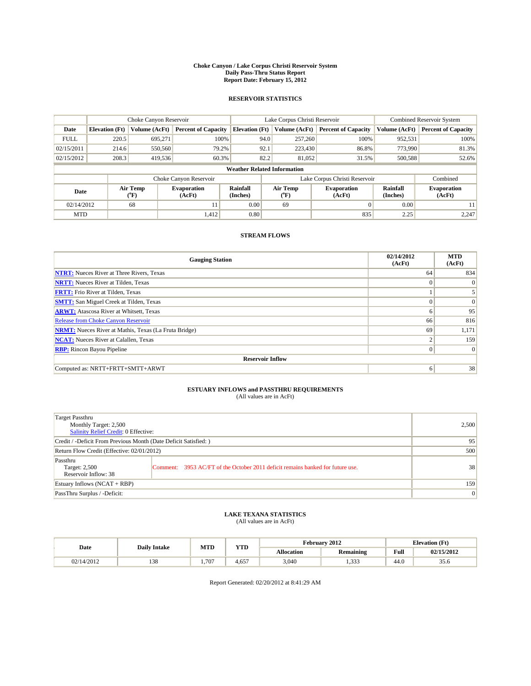#### **Choke Canyon / Lake Corpus Christi Reservoir System Daily Pass-Thru Status Report Report Date: February 15, 2012**

### **RESERVOIR STATISTICS**

|             |                                    |                             | Lake Corpus Christi Reservoir |                             |                               |                     | Combined Reservoir System    |                      |                              |  |  |
|-------------|------------------------------------|-----------------------------|-------------------------------|-----------------------------|-------------------------------|---------------------|------------------------------|----------------------|------------------------------|--|--|
| Date        | <b>Elevation</b> (Ft)              | Volume (AcFt)               | <b>Percent of Capacity</b>    | <b>Elevation</b> (Ft)       |                               | Volume (AcFt)       | <b>Percent of Capacity</b>   | Volume (AcFt)        | <b>Percent of Capacity</b>   |  |  |
| <b>FULL</b> | 220.5                              | 695.271                     | 100%                          |                             | 94.0                          | 257,260             | 100%                         | 952,531              | 100%                         |  |  |
| 02/15/2011  | 214.6                              | 550,560                     | 79.2%                         |                             | 92.1                          | 223,430             | 86.8%                        | 773,990              | 81.3%                        |  |  |
| 02/15/2012  | 208.3                              | 419,536                     | 60.3%                         |                             | 82.2                          | 81,052              | 31.5%                        | 500,588              | 52.6%                        |  |  |
|             | <b>Weather Related Information</b> |                             |                               |                             |                               |                     |                              |                      |                              |  |  |
|             |                                    |                             | Choke Canyon Reservoir        |                             | Lake Corpus Christi Reservoir |                     |                              |                      | Combined                     |  |  |
| Date        |                                    | Air Temp<br>${}^{\circ}$ F) | <b>Evaporation</b><br>(AcFt)  | <b>Rainfall</b><br>(Inches) |                               | Air Temp<br>$(^oF)$ | <b>Evaporation</b><br>(AcFt) | Rainfall<br>(Inches) | <b>Evaporation</b><br>(AcFt) |  |  |
| 02/14/2012  |                                    | 68                          | 11                            | 0.00                        |                               | 69                  | $\Omega$                     | 0.00                 | 11                           |  |  |
| <b>MTD</b>  |                                    |                             | 1,412                         | 0.80                        |                               |                     | 835                          | 2.25                 | 2,247                        |  |  |

### **STREAM FLOWS**

| <b>Gauging Station</b>                                       | 02/14/2012<br>(AcFt) | <b>MTD</b><br>(AcFt) |
|--------------------------------------------------------------|----------------------|----------------------|
| <b>NTRT:</b> Nueces River at Three Rivers, Texas             | 64                   | 834                  |
| <b>NRTT:</b> Nueces River at Tilden, Texas                   | $\Omega$             | $\Omega$             |
| <b>FRTT:</b> Frio River at Tilden, Texas                     |                      |                      |
| <b>SMTT:</b> San Miguel Creek at Tilden, Texas               | $\Omega$             | $\Omega$             |
| <b>ARWT:</b> Atascosa River at Whitsett, Texas               | 6                    | 95                   |
| Release from Choke Canyon Reservoir                          | 66                   | 816                  |
| <b>NRMT:</b> Nueces River at Mathis, Texas (La Fruta Bridge) | 69                   | 1,171                |
| <b>NCAT:</b> Nueces River at Calallen, Texas                 | ∍                    | 159                  |
| <b>RBP:</b> Rincon Bayou Pipeline                            | $\mathbf{0}$         | $\Omega$             |
| <b>Reservoir Inflow</b>                                      |                      |                      |
| Computed as: NRTT+FRTT+SMTT+ARWT                             | 6                    | 38                   |

# **ESTUARY INFLOWS and PASSTHRU REQUIREMENTS**<br>(All values are in AcFt)

| Target Passthru<br>Monthly Target: 2,500<br>Salinity Relief Credit: 0 Effective: |                                                                                | 2,500 |
|----------------------------------------------------------------------------------|--------------------------------------------------------------------------------|-------|
| Credit / -Deficit From Previous Month (Date Deficit Satisfied: )                 | 95                                                                             |       |
| Return Flow Credit (Effective: 02/01/2012)                                       | 500                                                                            |       |
| Passthru<br>Target: 2,500<br>Reservoir Inflow: 38                                | Comment: 3953 AC/FT of the October 2011 deficit remains banked for future use. | 38    |
| Estuary Inflows $(NCAT + RBP)$                                                   | 159                                                                            |       |
| PassThru Surplus / -Deficit:                                                     | $\vert 0 \vert$                                                                |       |

## **LAKE TEXANA STATISTICS** (All values are in AcFt)

| Date       | <b>Daily Intake</b> | <b>MTD</b> | <b>YTD</b>  |                   | February 2012              | <b>Elevation</b> (Ft) |            |
|------------|---------------------|------------|-------------|-------------------|----------------------------|-----------------------|------------|
|            |                     |            |             | <b>Allocation</b> | <b>Remaining</b>           | Full                  | 02/15/2012 |
| 02/14/2012 | 138                 | 1.707      | ---<br>4.05 | 3,040             | 33 <sup>1</sup><br>ر ر بيد | 44.0                  | 35.6       |

Report Generated: 02/20/2012 at 8:41:29 AM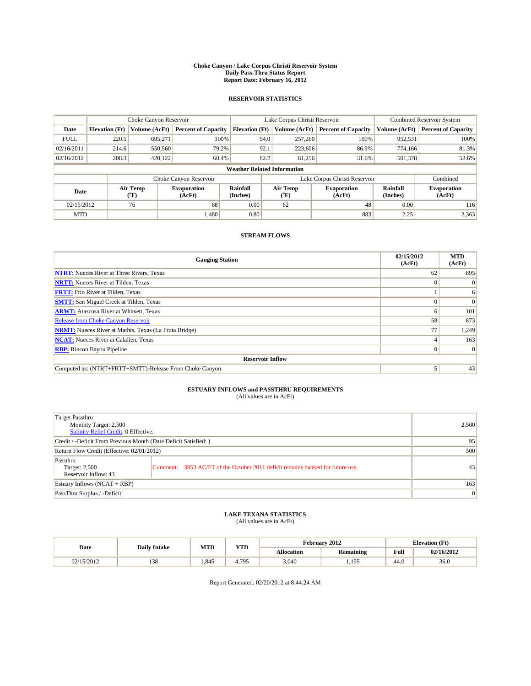#### **Choke Canyon / Lake Corpus Christi Reservoir System Daily Pass-Thru Status Report Report Date: February 16, 2012**

### **RESERVOIR STATISTICS**

|             | Choke Canyon Reservoir             |                  |                              |                       | Lake Corpus Christi Reservoir |                               |                             | <b>Combined Reservoir System</b> |  |
|-------------|------------------------------------|------------------|------------------------------|-----------------------|-------------------------------|-------------------------------|-----------------------------|----------------------------------|--|
| Date        | <b>Elevation</b> (Ft)              | Volume (AcFt)    | <b>Percent of Capacity</b>   | <b>Elevation</b> (Ft) | Volume (AcFt)                 | <b>Percent of Capacity</b>    | Volume (AcFt)               | <b>Percent of Capacity</b>       |  |
| <b>FULL</b> | 220.5                              | 695,271          | 100%                         | 94.0                  | 257,260                       | 100%                          | 952,531                     | 100%                             |  |
| 02/16/2011  | 214.6                              | 550,560          | 79.2%                        | 92.1                  | 223,606                       | 86.9%                         | 774.166                     | 81.3%                            |  |
| 02/16/2012  | 208.3                              | 420.122          | 60.4%                        | 82.2                  | 81,256                        | 31.6%                         | 501,378                     | 52.6%                            |  |
|             | <b>Weather Related Information</b> |                  |                              |                       |                               |                               |                             |                                  |  |
|             |                                    |                  | Choke Canyon Reservoir       |                       |                               | Lake Corpus Christi Reservoir |                             | Combined                         |  |
| Date        |                                    | Air Temp<br>(°F) | <b>Evaporation</b><br>(AcFt) | Rainfall<br>(Inches)  | Air Temp<br>("F)              | <b>Evaporation</b><br>(AcFt)  | <b>Rainfall</b><br>(Inches) | <b>Evaporation</b><br>(AcFt)     |  |
| 02/15/2012  |                                    | 76               | 68                           | 0.00                  | 62                            | 48                            | 0.00                        | 116                              |  |
| <b>MTD</b>  |                                    |                  | 1.480                        | 0.80                  |                               | 883                           | 2.25                        | 2,363                            |  |

### **STREAM FLOWS**

| <b>Gauging Station</b>                                       | 02/15/2012<br>(AcFt) | <b>MTD</b><br>(AcFt) |
|--------------------------------------------------------------|----------------------|----------------------|
| <b>NTRT:</b> Nueces River at Three Rivers, Texas             | 62                   | 895                  |
| <b>NRTT:</b> Nueces River at Tilden, Texas                   | $\Omega$             | $\theta$             |
| <b>FRTT:</b> Frio River at Tilden, Texas                     |                      | 6                    |
| <b>SMTT:</b> San Miguel Creek at Tilden, Texas               |                      | $\Omega$             |
| <b>ARWT:</b> Atascosa River at Whitsett, Texas               | <sub>0</sub>         | 101                  |
| Release from Choke Canyon Reservoir                          | 58                   | 873                  |
| <b>NRMT:</b> Nueces River at Mathis, Texas (La Fruta Bridge) | 77                   | 1,249                |
| <b>NCAT:</b> Nueces River at Calallen, Texas                 |                      | 163                  |
| <b>RBP:</b> Rincon Bayou Pipeline                            | $\Omega$             | $\Omega$             |
| <b>Reservoir Inflow</b>                                      |                      |                      |
| Computed as: (NTRT+FRTT+SMTT)-Release From Choke Canyon      |                      | 43                   |

# **ESTUARY INFLOWS and PASSTHRU REQUIREMENTS**<br>(All values are in AcFt)

| Target Passthru<br>Monthly Target: 2,500<br>Salinity Relief Credit: 0 Effective: |                                                                                | 2,500 |
|----------------------------------------------------------------------------------|--------------------------------------------------------------------------------|-------|
| Credit / -Deficit From Previous Month (Date Deficit Satisfied: )                 | 95                                                                             |       |
| Return Flow Credit (Effective: 02/01/2012)                                       | 500                                                                            |       |
| Passthru<br>Target: 2,500<br>Reservoir Inflow: 43                                | Comment: 3953 AC/FT of the October 2011 deficit remains banked for future use. | 43    |
| Estuary Inflows (NCAT + RBP)                                                     |                                                                                | 163   |
| PassThru Surplus / -Deficit:                                                     | $\vert 0 \vert$                                                                |       |

## **LAKE TEXANA STATISTICS** (All values are in AcFt)

|            | <b>Daily Intake</b> | MTD   | <b>YTD</b> | February 2012<br><b>Elevation</b> (Ft) |                  |                                         |            |
|------------|---------------------|-------|------------|----------------------------------------|------------------|-----------------------------------------|------------|
| Date       |                     |       |            | <b>Allocation</b>                      | <b>Remaining</b> | Full<br>the contract of the contract of | 02/16/2012 |
| 02/15/2012 | 138                 | 1.845 | 4.795      | 3,040                                  | 1.195            | 44.0                                    | 36.0       |

Report Generated: 02/20/2012 at 8:44:24 AM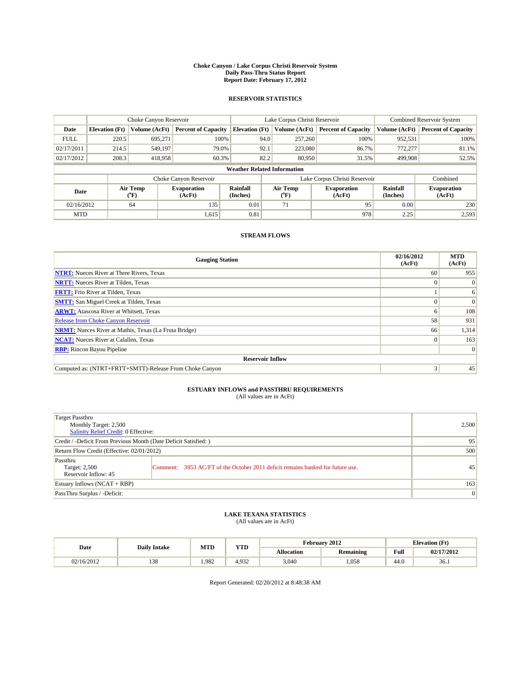#### **Choke Canyon / Lake Corpus Christi Reservoir System Daily Pass-Thru Status Report Report Date: February 17, 2012**

### **RESERVOIR STATISTICS**

|             | Choke Canyon Reservoir             |                  |                              |                             | Lake Corpus Christi Reservoir | <b>Combined Reservoir System</b> |                      |                              |  |
|-------------|------------------------------------|------------------|------------------------------|-----------------------------|-------------------------------|----------------------------------|----------------------|------------------------------|--|
| Date        | <b>Elevation</b> (Ft)              | Volume (AcFt)    | <b>Percent of Capacity</b>   | <b>Elevation</b> (Ft)       | Volume (AcFt)                 | <b>Percent of Capacity</b>       | Volume (AcFt)        | <b>Percent of Capacity</b>   |  |
| <b>FULL</b> | 220.5                              | 695,271          | 100%                         | 94.0                        | 257,260                       | 100%                             | 952,531              | 100%                         |  |
| 02/17/2011  | 214.5                              | 549,197          | 79.0%                        | 92.1                        | 223,080                       | 86.7%                            | 772,277              | 81.1%                        |  |
| 02/17/2012  | 208.3                              | 418,958          | 60.3%                        | 82.2                        | 80,950                        | 31.5%                            | 499,908              | 52.5%                        |  |
|             | <b>Weather Related Information</b> |                  |                              |                             |                               |                                  |                      |                              |  |
|             |                                    |                  | Choke Canyon Reservoir       |                             |                               | Lake Corpus Christi Reservoir    |                      | Combined                     |  |
| Date        |                                    | Air Temp<br>(°F) | <b>Evaporation</b><br>(AcFt) | <b>Rainfall</b><br>(Inches) | Air Temp<br>(°F)              | <b>Evaporation</b><br>(AcFt)     | Rainfall<br>(Inches) | <b>Evaporation</b><br>(AcFt) |  |
| 02/16/2012  |                                    | 64               | 135                          | 0.01                        | 71                            | 95                               | 0.00                 | 230                          |  |
| <b>MTD</b>  |                                    |                  | 1,615                        | 0.81                        |                               | 978                              | 2.25                 | 2,593                        |  |

### **STREAM FLOWS**

| <b>Gauging Station</b>                                       | 02/16/2012<br>(AcFt) | <b>MTD</b><br>(AcFt) |
|--------------------------------------------------------------|----------------------|----------------------|
| <b>NTRT:</b> Nueces River at Three Rivers, Texas             | 60                   | 955                  |
| <b>NRTT:</b> Nueces River at Tilden, Texas                   | $\Omega$             | $\Omega$             |
| <b>FRTT:</b> Frio River at Tilden, Texas                     |                      | 6                    |
| <b>SMTT:</b> San Miguel Creek at Tilden, Texas               |                      | $\Omega$             |
| <b>ARWT:</b> Atascosa River at Whitsett, Texas               | <sub>0</sub>         | 108                  |
| Release from Choke Canyon Reservoir                          | 58                   | 931                  |
| <b>NRMT:</b> Nueces River at Mathis, Texas (La Fruta Bridge) | 66                   | 1,314                |
| <b>NCAT:</b> Nueces River at Calallen, Texas                 | $\Omega$             | 163                  |
| <b>RBP:</b> Rincon Bayou Pipeline                            |                      | $\Omega$             |
| <b>Reservoir Inflow</b>                                      |                      |                      |
| Computed as: (NTRT+FRTT+SMTT)-Release From Choke Canyon      | 3                    | 45                   |

# **ESTUARY INFLOWS and PASSTHRU REQUIREMENTS**<br>(All values are in AcFt)

| Target Passthru<br>Monthly Target: 2,500<br>Salinity Relief Credit: 0 Effective: |                                                                                | 2,500           |
|----------------------------------------------------------------------------------|--------------------------------------------------------------------------------|-----------------|
| Credit / -Deficit From Previous Month (Date Deficit Satisfied: )                 | 95                                                                             |                 |
| Return Flow Credit (Effective: 02/01/2012)                                       | 500                                                                            |                 |
| Passthru<br>Target: 2,500<br>Reservoir Inflow: 45                                | Comment: 3953 AC/FT of the October 2011 deficit remains banked for future use. | 45              |
| Estuary Inflows (NCAT + RBP)                                                     |                                                                                | 163             |
| PassThru Surplus / -Deficit:                                                     |                                                                                | $\vert 0 \vert$ |

## **LAKE TEXANA STATISTICS** (All values are in AcFt)

|            | <b>Daily Intake</b> | <b>MTD</b> | <b>YTD</b> | February 2012     |                  |      | <b>Elevation</b> (Ft) |  |
|------------|---------------------|------------|------------|-------------------|------------------|------|-----------------------|--|
| Date       |                     |            |            | <b>Allocation</b> | <b>Remaining</b> | Full | 02/17/2012            |  |
| 02/16/2012 | 138                 | .982       | 4.932      | 3,040             | 1,058            | 44.0 | 36.1                  |  |

Report Generated: 02/20/2012 at 8:48:38 AM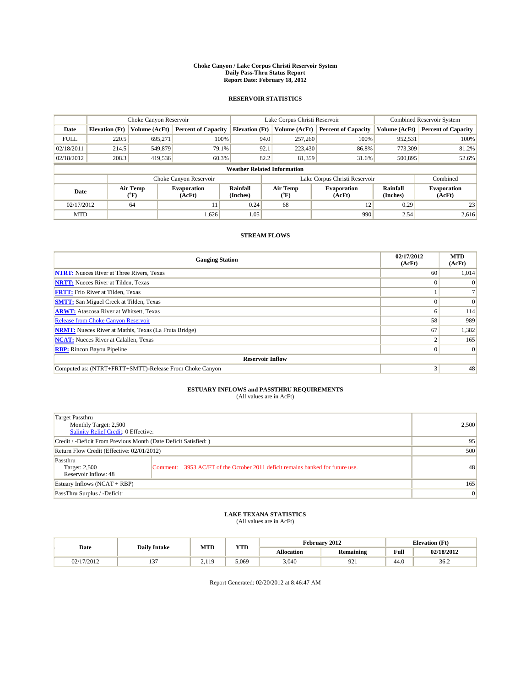#### **Choke Canyon / Lake Corpus Christi Reservoir System Daily Pass-Thru Status Report Report Date: February 18, 2012**

### **RESERVOIR STATISTICS**

|             | Choke Canyon Reservoir             |                  |                              |                             | Lake Corpus Christi Reservoir |                               |                      | <b>Combined Reservoir System</b> |  |  |
|-------------|------------------------------------|------------------|------------------------------|-----------------------------|-------------------------------|-------------------------------|----------------------|----------------------------------|--|--|
| Date        | <b>Elevation</b> (Ft)              | Volume (AcFt)    | <b>Percent of Capacity</b>   | <b>Elevation</b> (Ft)       | Volume (AcFt)                 | <b>Percent of Capacity</b>    | Volume (AcFt)        | <b>Percent of Capacity</b>       |  |  |
| <b>FULL</b> | 220.5                              | 695,271          | 100%                         | 94.0                        | 257,260                       | 100%                          | 952,531              | 100%                             |  |  |
| 02/18/2011  | 214.5                              | 549,879          | 79.1%                        | 92.1                        | 223,430                       | 86.8%                         | 773,309              | 81.2%                            |  |  |
| 02/18/2012  | 208.3                              | 419,536          | 60.3%                        | 82.2                        | 81,359                        | 31.6%                         | 500,895              | 52.6%                            |  |  |
|             | <b>Weather Related Information</b> |                  |                              |                             |                               |                               |                      |                                  |  |  |
|             |                                    |                  | Choke Canyon Reservoir       |                             |                               | Lake Corpus Christi Reservoir |                      | Combined                         |  |  |
| Date        |                                    | Air Temp<br>(°F) | <b>Evaporation</b><br>(AcFt) | <b>Rainfall</b><br>(Inches) | Air Temp<br>(°F)              | <b>Evaporation</b><br>(AcFt)  | Rainfall<br>(Inches) | <b>Evaporation</b><br>(AcFt)     |  |  |
| 02/17/2012  |                                    | 64               | 11                           | 0.24                        | 68                            | 12                            | 0.29                 | 23                               |  |  |
| <b>MTD</b>  |                                    |                  | 1,626                        | 1.05                        |                               | 990                           | 2.54                 | 2.616                            |  |  |

### **STREAM FLOWS**

| <b>Gauging Station</b>                                       | 02/17/2012<br>(AcFt) | <b>MTD</b><br>(AcFt) |
|--------------------------------------------------------------|----------------------|----------------------|
| <b>NTRT:</b> Nueces River at Three Rivers, Texas             | 60                   | 1,014                |
| <b>NRTT:</b> Nueces River at Tilden, Texas                   |                      |                      |
| <b>FRTT:</b> Frio River at Tilden, Texas                     |                      |                      |
| <b>SMTT:</b> San Miguel Creek at Tilden, Texas               |                      | $\Omega$             |
| <b>ARWT:</b> Atascosa River at Whitsett, Texas               | <sub>0</sub>         | 114                  |
| Release from Choke Canyon Reservoir                          | 58                   | 989                  |
| <b>NRMT:</b> Nueces River at Mathis, Texas (La Fruta Bridge) | 67                   | 1,382                |
| <b>NCAT:</b> Nueces River at Calallen, Texas                 |                      | 165                  |
| <b>RBP:</b> Rincon Bayou Pipeline                            | $\Omega$             | $\Omega$             |
| <b>Reservoir Inflow</b>                                      |                      |                      |
| Computed as: (NTRT+FRTT+SMTT)-Release From Choke Canyon      | 3                    | 48                   |

# **ESTUARY INFLOWS and PASSTHRU REQUIREMENTS**<br>(All values are in AcFt)

| Target Passthru<br>Monthly Target: 2,500<br>Salinity Relief Credit: 0 Effective: |                                                                                | 2,500 |
|----------------------------------------------------------------------------------|--------------------------------------------------------------------------------|-------|
| Credit / -Deficit From Previous Month (Date Deficit Satisfied: )                 | 95                                                                             |       |
| Return Flow Credit (Effective: 02/01/2012)                                       | 500                                                                            |       |
| Passthru<br>Target: 2,500<br>Reservoir Inflow: 48                                | Comment: 3953 AC/FT of the October 2011 deficit remains banked for future use. | 48    |
| Estuary Inflows (NCAT + RBP)                                                     |                                                                                | 165   |
| PassThru Surplus / -Deficit:                                                     | $\vert 0 \vert$                                                                |       |

## **LAKE TEXANA STATISTICS** (All values are in AcFt)

|            | <b>Daily Intake</b> | MTD      | <b>XZOD</b><br>1 I.D | February 2012<br><b>Elevation</b> (Ft) |                  |                                         |            |
|------------|---------------------|----------|----------------------|----------------------------------------|------------------|-----------------------------------------|------------|
| Date       |                     |          |                      | <b>Allocation</b>                      | <b>Remaining</b> | Full<br>the contract of the contract of | 02/18/2012 |
| 02/17/2012 | $-$                 | 110<br>. | 5.069                | 3.040                                  | $\Omega$<br>フムエ  | 44.0                                    | 36.2       |

Report Generated: 02/20/2012 at 8:46:47 AM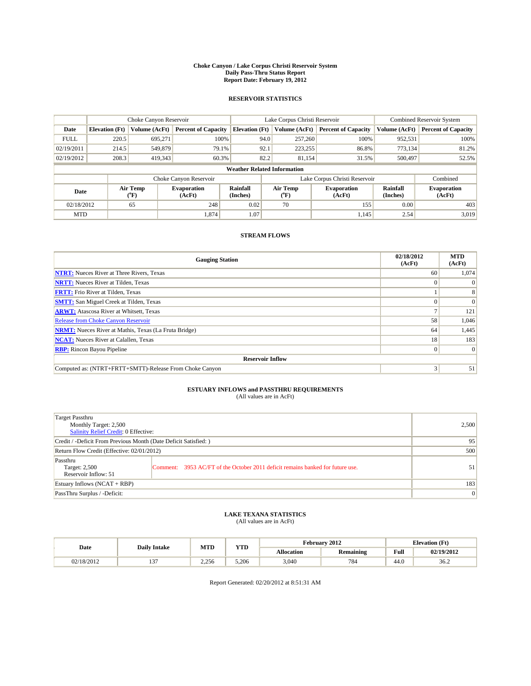#### **Choke Canyon / Lake Corpus Christi Reservoir System Daily Pass-Thru Status Report Report Date: February 19, 2012**

### **RESERVOIR STATISTICS**

|             | Choke Canyon Reservoir             |                  |                              |                             | Lake Corpus Christi Reservoir | <b>Combined Reservoir System</b> |                      |                              |  |  |
|-------------|------------------------------------|------------------|------------------------------|-----------------------------|-------------------------------|----------------------------------|----------------------|------------------------------|--|--|
| Date        | <b>Elevation</b> (Ft)              | Volume (AcFt)    | <b>Percent of Capacity</b>   | <b>Elevation</b> (Ft)       | Volume (AcFt)                 | <b>Percent of Capacity</b>       | Volume (AcFt)        | <b>Percent of Capacity</b>   |  |  |
| <b>FULL</b> | 220.5                              | 695,271          | 100%                         | 94.0                        | 257,260                       | 100%                             | 952,531              | 100%                         |  |  |
| 02/19/2011  | 214.5                              | 549,879          | 79.1%                        | 92.1                        | 223,255                       | 86.8%                            | 773,134              | 81.2%                        |  |  |
| 02/19/2012  | 208.3                              | 419,343          | 60.3%                        | 82.2                        | 81,154                        | 31.5%                            | 500,497              | 52.5%                        |  |  |
|             | <b>Weather Related Information</b> |                  |                              |                             |                               |                                  |                      |                              |  |  |
|             |                                    |                  | Choke Canyon Reservoir       |                             | Lake Corpus Christi Reservoir |                                  | Combined             |                              |  |  |
| Date        |                                    | Air Temp<br>(°F) | <b>Evaporation</b><br>(AcFt) | <b>Rainfall</b><br>(Inches) | Air Temp<br>(°F)              | <b>Evaporation</b><br>(AcFt)     | Rainfall<br>(Inches) | <b>Evaporation</b><br>(AcFt) |  |  |
| 02/18/2012  |                                    | 65               | 248                          | 0.02                        | 70                            | 155                              | 0.00                 | 403                          |  |  |
| <b>MTD</b>  |                                    |                  | 1,874                        | 1.07                        |                               | 1,145                            | 2.54                 | 3.019                        |  |  |

### **STREAM FLOWS**

| <b>Gauging Station</b>                                       | 02/18/2012<br>(AcFt) | <b>MTD</b><br>(AcFt) |
|--------------------------------------------------------------|----------------------|----------------------|
| <b>NTRT:</b> Nueces River at Three Rivers, Texas             | 60                   | 1,074                |
| <b>NRTT:</b> Nueces River at Tilden, Texas                   | $\Omega$             |                      |
| <b>FRTT:</b> Frio River at Tilden, Texas                     |                      |                      |
| <b>SMTT:</b> San Miguel Creek at Tilden, Texas               |                      | $\Omega$             |
| <b>ARWT:</b> Atascosa River at Whitsett, Texas               |                      | 121                  |
| <b>Release from Choke Canyon Reservoir</b>                   | 58                   | 1,046                |
| <b>NRMT:</b> Nueces River at Mathis, Texas (La Fruta Bridge) | 64                   | 1,445                |
| <b>NCAT:</b> Nueces River at Calallen, Texas                 | 18 <sup>1</sup>      | 183                  |
| <b>RBP:</b> Rincon Bayou Pipeline                            | $\overline{0}$       | $\Omega$             |
| <b>Reservoir Inflow</b>                                      |                      |                      |
| Computed as: (NTRT+FRTT+SMTT)-Release From Choke Canyon      | 3                    | 51                   |

# **ESTUARY INFLOWS and PASSTHRU REQUIREMENTS**<br>(All values are in AcFt)

| Target Passthru<br>Monthly Target: 2,500<br>Salinity Relief Credit: 0 Effective: |                                                                                | 2,500 |
|----------------------------------------------------------------------------------|--------------------------------------------------------------------------------|-------|
| Credit / -Deficit From Previous Month (Date Deficit Satisfied: )                 | 95                                                                             |       |
| Return Flow Credit (Effective: 02/01/2012)                                       | 500                                                                            |       |
| Passthru<br>Target: 2,500<br>Reservoir Inflow: 51                                | Comment: 3953 AC/FT of the October 2011 deficit remains banked for future use. | 51    |
| Estuary Inflows (NCAT + RBP)                                                     | 183                                                                            |       |
| PassThru Surplus / -Deficit:                                                     | $\vert 0 \vert$                                                                |       |

## **LAKE TEXANA STATISTICS** (All values are in AcFt)

|            | <b>Daily Intake</b> | <b>MTD</b> | <b>YTD</b> | February 2012<br><b>Elevation</b> (Ft) |                  |      |            |
|------------|---------------------|------------|------------|----------------------------------------|------------------|------|------------|
| Date       |                     |            |            | <b>Allocation</b>                      | <b>Remaining</b> | Full | 02/19/2012 |
| 02/18/2012 | $\sim$<br>. .       | 2.256      | 5.206      | 3,040                                  | 784              | 44.0 | 36.2       |

Report Generated: 02/20/2012 at 8:51:31 AM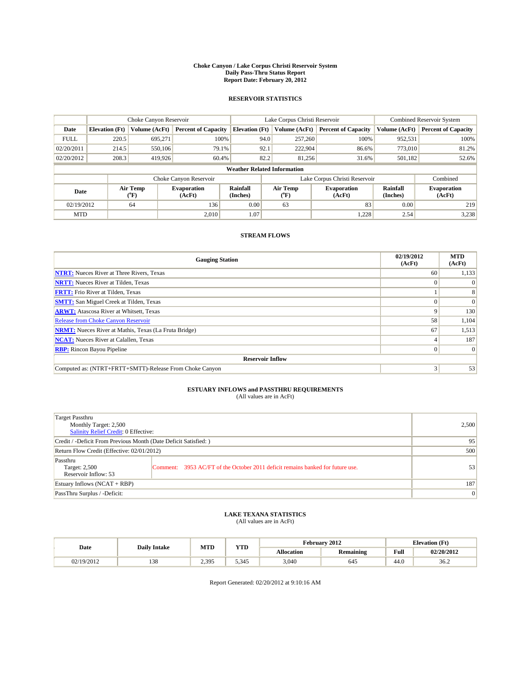#### **Choke Canyon / Lake Corpus Christi Reservoir System Daily Pass-Thru Status Report Report Date: February 20, 2012**

### **RESERVOIR STATISTICS**

|             | Choke Canyon Reservoir             |                             |                              |                       | Lake Corpus Christi Reservoir |                                         |                              |                             | Combined Reservoir System    |  |
|-------------|------------------------------------|-----------------------------|------------------------------|-----------------------|-------------------------------|-----------------------------------------|------------------------------|-----------------------------|------------------------------|--|
| Date        | <b>Elevation</b> (Ft)              | Volume (AcFt)               | <b>Percent of Capacity</b>   | <b>Elevation (Ft)</b> |                               | Volume (AcFt)                           | <b>Percent of Capacity</b>   | Volume (AcFt)               | <b>Percent of Capacity</b>   |  |
| <b>FULL</b> | 220.5                              | 695,271                     | 100%                         |                       | 94.0                          | 257,260                                 | 100%                         | 952,531                     | 100%                         |  |
| 02/20/2011  | 214.5                              | 550,106                     | 79.1%                        |                       | 92.1                          | 222,904                                 | 86.6%                        | 773,010                     | 81.2%                        |  |
| 02/20/2012  | 208.3                              | 419.926                     | 60.4%                        |                       | 82.2                          | 81.256                                  | 31.6%                        | 501,182                     | 52.6%                        |  |
|             | <b>Weather Related Information</b> |                             |                              |                       |                               |                                         |                              |                             |                              |  |
|             |                                    |                             | Choke Canyon Reservoir       |                       | Lake Corpus Christi Reservoir |                                         |                              |                             | Combined                     |  |
| Date        |                                    | Air Temp<br>${}^{\circ}$ F) | <b>Evaporation</b><br>(AcFt) | Rainfall<br>(Inches)  |                               | Air Temp<br>$(^{\mathrm{o}}\mathrm{F})$ | <b>Evaporation</b><br>(AcFt) | <b>Rainfall</b><br>(Inches) | <b>Evaporation</b><br>(AcFt) |  |
| 02/19/2012  |                                    | 64                          | 136                          | 0.00                  |                               | 63                                      | 83                           | 0.00                        | 219                          |  |
| <b>MTD</b>  |                                    |                             | 2.010                        | 1.07                  |                               |                                         | 1,228                        | 2.54                        | 3,238                        |  |

### **STREAM FLOWS**

| <b>Gauging Station</b>                                       | 02/19/2012<br>(AcFt) | <b>MTD</b><br>(AcFt) |
|--------------------------------------------------------------|----------------------|----------------------|
| <b>NTRT:</b> Nueces River at Three Rivers, Texas             | 60                   | 1,133                |
| <b>NRTT:</b> Nueces River at Tilden, Texas                   |                      | $\Omega$             |
| <b>FRTT:</b> Frio River at Tilden, Texas                     |                      | 8                    |
| <b>SMTT:</b> San Miguel Creek at Tilden, Texas               |                      | $\Omega$             |
| <b>ARWT:</b> Atascosa River at Whitsett, Texas               |                      | 130                  |
| <b>Release from Choke Canyon Reservoir</b>                   | 58                   | 1,104                |
| <b>NRMT:</b> Nueces River at Mathis, Texas (La Fruta Bridge) | 67                   | 1,513                |
| <b>NCAT:</b> Nueces River at Calallen, Texas                 |                      | 187                  |
| <b>RBP:</b> Rincon Bayou Pipeline                            | $\Omega$             | $\Omega$             |
| <b>Reservoir Inflow</b>                                      |                      |                      |
| Computed as: (NTRT+FRTT+SMTT)-Release From Choke Canyon      | 3                    | 53                   |

# **ESTUARY INFLOWS and PASSTHRU REQUIREMENTS**<br>(All values are in AcFt)

| Target Passthru<br>Monthly Target: 2,500<br>Salinity Relief Credit: 0 Effective: |                                                                                | 2,500 |
|----------------------------------------------------------------------------------|--------------------------------------------------------------------------------|-------|
| Credit / -Deficit From Previous Month (Date Deficit Satisfied: )                 | 95                                                                             |       |
| Return Flow Credit (Effective: 02/01/2012)                                       | 500                                                                            |       |
| Passthru<br>Target: 2,500<br>Reservoir Inflow: 53                                | Comment: 3953 AC/FT of the October 2011 deficit remains banked for future use. | 53    |
| Estuary Inflows (NCAT + RBP)                                                     | 187                                                                            |       |
| PassThru Surplus / -Deficit:                                                     | $\vert 0 \vert$                                                                |       |

# **LAKE TEXANA STATISTICS** (All values are in AcFt)

|            | <b>Daily Intake</b> | <b>MTD</b> | <b>YTD</b> | February 2012     |                  |      | <b>Elevation</b> (Ft) |  |
|------------|---------------------|------------|------------|-------------------|------------------|------|-----------------------|--|
| Date       |                     |            |            | <b>Allocation</b> | <b>Remaining</b> | Full | 02/20/2012            |  |
| 02/19/2012 | 138                 | 2.395      | 5.345      | 3,040             | 645              | 44.0 | 36.2                  |  |

Report Generated: 02/20/2012 at 9:10:16 AM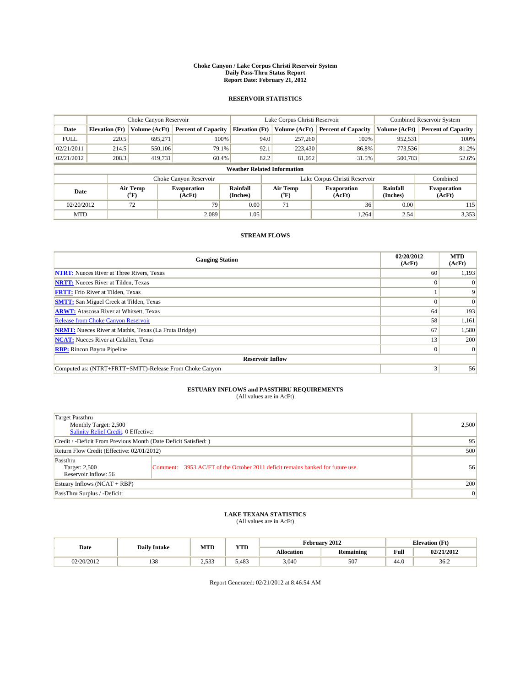#### **Choke Canyon / Lake Corpus Christi Reservoir System Daily Pass-Thru Status Report Report Date: February 21, 2012**

### **RESERVOIR STATISTICS**

|             | Choke Canyon Reservoir             |                  |                              |                       | Lake Corpus Christi Reservoir |                              |                      | <b>Combined Reservoir System</b> |  |  |
|-------------|------------------------------------|------------------|------------------------------|-----------------------|-------------------------------|------------------------------|----------------------|----------------------------------|--|--|
| Date        | <b>Elevation</b> (Ft)              | Volume (AcFt)    | <b>Percent of Capacity</b>   | <b>Elevation</b> (Ft) | Volume (AcFt)                 | <b>Percent of Capacity</b>   | Volume (AcFt)        | <b>Percent of Capacity</b>       |  |  |
| <b>FULL</b> | 220.5                              | 695,271          | 100%                         | 94.0                  | 257,260                       | 100%                         | 952,531              | 100%                             |  |  |
| 02/21/2011  | 214.5                              | 550,106          | 79.1%                        | 92.1                  | 223,430                       | 86.8%                        | 773,536              | 81.2%                            |  |  |
| 02/21/2012  | 208.3                              | 419,731          | 60.4%                        | 82.2                  | 81,052                        | 31.5%                        | 500,783              | 52.6%                            |  |  |
|             | <b>Weather Related Information</b> |                  |                              |                       |                               |                              |                      |                                  |  |  |
|             |                                    |                  | Choke Canyon Reservoir       |                       | Lake Corpus Christi Reservoir |                              |                      | Combined                         |  |  |
| Date        |                                    | Air Temp<br>(°F) | <b>Evaporation</b><br>(AcFt) | Rainfall<br>(Inches)  | Air Temp<br>("F)              | <b>Evaporation</b><br>(AcFt) | Rainfall<br>(Inches) | <b>Evaporation</b><br>(AcFt)     |  |  |
| 02/20/2012  |                                    | 72               | 79                           | 0.00                  | 71                            | 36                           | 0.00                 | 115                              |  |  |
| <b>MTD</b>  |                                    |                  | 2.089                        | 1.05                  |                               | 1,264                        | 2.54                 | 3,353                            |  |  |

### **STREAM FLOWS**

| <b>Gauging Station</b>                                       | 02/20/2012<br>(AcFt) | <b>MTD</b><br>(AcFt) |
|--------------------------------------------------------------|----------------------|----------------------|
| <b>NTRT:</b> Nueces River at Three Rivers, Texas             | 60                   | 1,193                |
| <b>NRTT:</b> Nueces River at Tilden, Texas                   | $\Omega$             |                      |
| <b>FRTT:</b> Frio River at Tilden, Texas                     |                      | 9                    |
| <b>SMTT:</b> San Miguel Creek at Tilden, Texas               |                      | $\Omega$             |
| <b>ARWT:</b> Atascosa River at Whitsett, Texas               | 64                   | 193                  |
| Release from Choke Canyon Reservoir                          | 58                   | 1,161                |
| <b>NRMT:</b> Nueces River at Mathis, Texas (La Fruta Bridge) | 67                   | 1,580                |
| <b>NCAT:</b> Nueces River at Calallen, Texas                 | 13                   | 200                  |
| <b>RBP:</b> Rincon Bayou Pipeline                            | $\overline{0}$       | $\Omega$             |
| <b>Reservoir Inflow</b>                                      |                      |                      |
| Computed as: (NTRT+FRTT+SMTT)-Release From Choke Canyon      | 3                    | 56                   |

# **ESTUARY INFLOWS and PASSTHRU REQUIREMENTS**<br>(All values are in AcFt)

| Target Passthru<br>Monthly Target: 2,500<br>Salinity Relief Credit: 0 Effective: |                                                                                | 2,500 |
|----------------------------------------------------------------------------------|--------------------------------------------------------------------------------|-------|
| Credit / -Deficit From Previous Month (Date Deficit Satisfied: )                 | 95                                                                             |       |
| Return Flow Credit (Effective: 02/01/2012)                                       | 500                                                                            |       |
| Passthru<br>Target: 2,500<br>Reservoir Inflow: 56                                | Comment: 3953 AC/FT of the October 2011 deficit remains banked for future use. | 56    |
| Estuary Inflows (NCAT + RBP)                                                     | 200                                                                            |       |
| PassThru Surplus / -Deficit:                                                     | $\vert 0 \vert$                                                                |       |

## **LAKE TEXANA STATISTICS** (All values are in AcFt)

| Date       | <b>Daily Intake</b> | <b>MTD</b> | <b>YTD</b> | February 2012<br><b>Elevation</b> (Ft) |                  |      |            |
|------------|---------------------|------------|------------|----------------------------------------|------------------|------|------------|
|            |                     |            |            | <b>Allocation</b>                      | <b>Remaining</b> | Full | 02/21/2012 |
| 02/20/2012 | 138                 | 2.533      | 5.483      | 3,040                                  | 507              | 44.0 | 36.2       |

Report Generated: 02/21/2012 at 8:46:54 AM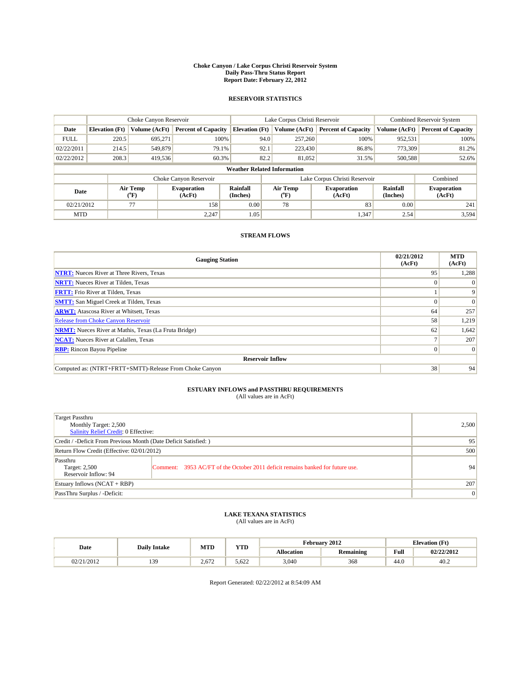#### **Choke Canyon / Lake Corpus Christi Reservoir System Daily Pass-Thru Status Report Report Date: February 22, 2012**

### **RESERVOIR STATISTICS**

|             | Choke Canyon Reservoir             |                  |                              |                       | Lake Corpus Christi Reservoir | <b>Combined Reservoir System</b> |                      |                              |  |  |
|-------------|------------------------------------|------------------|------------------------------|-----------------------|-------------------------------|----------------------------------|----------------------|------------------------------|--|--|
| Date        | <b>Elevation</b> (Ft)              | Volume (AcFt)    | <b>Percent of Capacity</b>   | <b>Elevation</b> (Ft) | Volume (AcFt)                 | <b>Percent of Capacity</b>       | Volume (AcFt)        | <b>Percent of Capacity</b>   |  |  |
| <b>FULL</b> | 220.5                              | 695,271          | 100%                         | 94.0                  | 257,260                       | 100%                             | 952,531              | 100%                         |  |  |
| 02/22/2011  | 214.5                              | 549,879          | 79.1%                        | 92.1                  | 223,430                       | 86.8%                            | 773,309              | 81.2%                        |  |  |
| 02/22/2012  | 208.3                              | 419,536          | 60.3%                        | 82.2                  | 81,052                        | 31.5%                            | 500,588              | 52.6%                        |  |  |
|             | <b>Weather Related Information</b> |                  |                              |                       |                               |                                  |                      |                              |  |  |
|             |                                    |                  | Choke Canyon Reservoir       |                       | Lake Corpus Christi Reservoir |                                  |                      | Combined                     |  |  |
| Date        |                                    | Air Temp<br>(°F) | <b>Evaporation</b><br>(AcFt) | Rainfall<br>(Inches)  | Air Temp<br>("F)              | <b>Evaporation</b><br>(AcFt)     | Rainfall<br>(Inches) | <b>Evaporation</b><br>(AcFt) |  |  |
| 02/21/2012  |                                    | 77               | 158                          | 0.00                  | 78                            | 83                               | 0.00                 | 241                          |  |  |
| <b>MTD</b>  |                                    |                  | 2.247                        | 1.05                  |                               | 1,347                            | 2.54                 | 3,594                        |  |  |

### **STREAM FLOWS**

| <b>Gauging Station</b>                                       | 02/21/2012<br>(AcFt) | <b>MTD</b><br>(AcFt) |
|--------------------------------------------------------------|----------------------|----------------------|
| <b>NTRT:</b> Nueces River at Three Rivers, Texas             | 95                   | 1,288                |
| <b>NRTT:</b> Nueces River at Tilden, Texas                   | $\Omega$             |                      |
| <b>FRTT:</b> Frio River at Tilden, Texas                     |                      | 9                    |
| <b>SMTT:</b> San Miguel Creek at Tilden, Texas               |                      | $\Omega$             |
| <b>ARWT:</b> Atascosa River at Whitsett, Texas               | 64                   | 257                  |
| <b>Release from Choke Canyon Reservoir</b>                   | 58                   | 1,219                |
| <b>NRMT:</b> Nueces River at Mathis, Texas (La Fruta Bridge) | 62                   | 1,642                |
| <b>NCAT:</b> Nueces River at Calallen, Texas                 |                      | 207                  |
| <b>RBP:</b> Rincon Bayou Pipeline                            | $\Omega$             | $\Omega$             |
| <b>Reservoir Inflow</b>                                      |                      |                      |
| Computed as: (NTRT+FRTT+SMTT)-Release From Choke Canyon      | 38                   | 94                   |

# **ESTUARY INFLOWS and PASSTHRU REQUIREMENTS**<br>(All values are in AcFt)

| Target Passthru<br>Monthly Target: 2,500<br>Salinity Relief Credit: 0 Effective: |                                                                                | 2,500 |
|----------------------------------------------------------------------------------|--------------------------------------------------------------------------------|-------|
| Credit / -Deficit From Previous Month (Date Deficit Satisfied: )                 | 95                                                                             |       |
| Return Flow Credit (Effective: 02/01/2012)                                       | 500                                                                            |       |
| Passthru<br>Target: 2,500<br>Reservoir Inflow: 94                                | Comment: 3953 AC/FT of the October 2011 deficit remains banked for future use. | 94    |
| Estuary Inflows (NCAT + RBP)                                                     | 207                                                                            |       |
| PassThru Surplus / -Deficit:                                                     | $\vert 0 \vert$                                                                |       |

## **LAKE TEXANA STATISTICS** (All values are in AcFt)

|            | <b>Daily Intake</b> | <b>MTD</b> | <b>YTD</b> | February 2012<br><b>Elevation</b> (Ft) |                  |      |            |
|------------|---------------------|------------|------------|----------------------------------------|------------------|------|------------|
| Date       |                     |            |            | <b>Allocation</b>                      | <b>Remaining</b> | Full | 02/22/2012 |
| 02/21/2012 | 30<br>              | 2.672      | 5.622      | 3,040                                  | 368              | 44.0 | 40.2       |

Report Generated: 02/22/2012 at 8:54:09 AM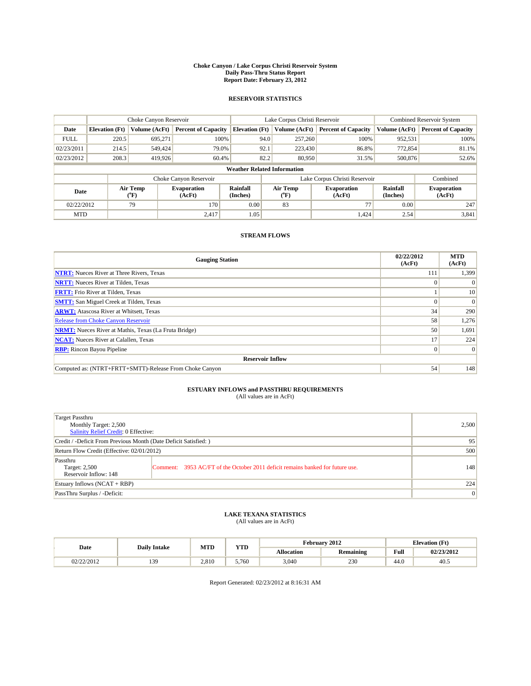#### **Choke Canyon / Lake Corpus Christi Reservoir System Daily Pass-Thru Status Report Report Date: February 23, 2012**

### **RESERVOIR STATISTICS**

|             | Choke Canyon Reservoir             |                  |                              |                       | Lake Corpus Christi Reservoir | <b>Combined Reservoir System</b> |                      |                              |  |  |
|-------------|------------------------------------|------------------|------------------------------|-----------------------|-------------------------------|----------------------------------|----------------------|------------------------------|--|--|
| Date        | <b>Elevation</b> (Ft)              | Volume (AcFt)    | <b>Percent of Capacity</b>   | <b>Elevation (Ft)</b> | Volume (AcFt)                 | <b>Percent of Capacity</b>       | Volume (AcFt)        | <b>Percent of Capacity</b>   |  |  |
| <b>FULL</b> | 220.5                              | 695,271          | 100%                         | 94.0                  | 257,260                       | 100%                             | 952,531              | 100%                         |  |  |
| 02/23/2011  | 214.5                              | 549,424          | 79.0%                        | 92.1                  | 223,430                       | 86.8%                            | 772,854              | 81.1%                        |  |  |
| 02/23/2012  | 208.3                              | 419,926          | 60.4%                        | 82.2                  | 80,950                        | 31.5%                            | 500,876              | 52.6%                        |  |  |
|             | <b>Weather Related Information</b> |                  |                              |                       |                               |                                  |                      |                              |  |  |
|             |                                    |                  | Choke Canyon Reservoir       |                       |                               | Lake Corpus Christi Reservoir    |                      | Combined                     |  |  |
| Date        |                                    | Air Temp<br>(°F) | <b>Evaporation</b><br>(AcFt) | Rainfall<br>(Inches)  | Air Temp<br>("F)              | <b>Evaporation</b><br>(AcFt)     | Rainfall<br>(Inches) | <b>Evaporation</b><br>(AcFt) |  |  |
| 02/22/2012  |                                    | 79               | 170                          | 0.00                  | 83                            | 77                               | 0.00                 | 247                          |  |  |
| <b>MTD</b>  |                                    |                  | 2.417                        | 1.05                  |                               | 1.424                            | 2.54                 | 3,841                        |  |  |

### **STREAM FLOWS**

| <b>Gauging Station</b>                                       | 02/22/2012<br>(AcFt) | <b>MTD</b><br>(AcFt) |
|--------------------------------------------------------------|----------------------|----------------------|
| <b>NTRT:</b> Nueces River at Three Rivers, Texas             | 111                  | 1,399                |
| <b>NRTT:</b> Nueces River at Tilden, Texas                   | $\theta$             |                      |
| <b>FRTT:</b> Frio River at Tilden, Texas                     |                      | 10                   |
| <b>SMTT:</b> San Miguel Creek at Tilden, Texas               |                      | $\Omega$             |
| <b>ARWT:</b> Atascosa River at Whitsett, Texas               | 34                   | 290                  |
| <b>Release from Choke Canyon Reservoir</b>                   | 58                   | 1,276                |
| <b>NRMT:</b> Nueces River at Mathis, Texas (La Fruta Bridge) | 50                   | 1,691                |
| <b>NCAT:</b> Nueces River at Calallen, Texas                 | 17                   | 224                  |
| <b>RBP:</b> Rincon Bayou Pipeline                            | $\overline{0}$       | $\Omega$             |
| <b>Reservoir Inflow</b>                                      |                      |                      |
| Computed as: (NTRT+FRTT+SMTT)-Release From Choke Canyon      | 54                   | 148                  |

# **ESTUARY INFLOWS and PASSTHRU REQUIREMENTS**<br>(All values are in AcFt)

| Target Passthru<br>Monthly Target: 2,500<br>Salinity Relief Credit: 0 Effective: |                                                                                | 2,500 |
|----------------------------------------------------------------------------------|--------------------------------------------------------------------------------|-------|
| Credit / -Deficit From Previous Month (Date Deficit Satisfied: )                 | 95                                                                             |       |
| Return Flow Credit (Effective: 02/01/2012)                                       | 500                                                                            |       |
| Passthru<br>Target: 2,500<br>Reservoir Inflow: 148                               | Comment: 3953 AC/FT of the October 2011 deficit remains banked for future use. | 148   |
| Estuary Inflows (NCAT + RBP)                                                     |                                                                                | 224   |
| PassThru Surplus / -Deficit:                                                     | $\overline{0}$                                                                 |       |

## **LAKE TEXANA STATISTICS** (All values are in AcFt)

|            | <b>Daily Intake</b> | MTD   | VTT<br>1 I.D | February 2012<br><b>Elevation</b> (Ft) |                  |                                         |            |
|------------|---------------------|-------|--------------|----------------------------------------|------------------|-----------------------------------------|------------|
| Date       |                     |       |              | <b>Allocation</b>                      | <b>Remaining</b> | Full<br>the contract of the contract of | 02/23/2012 |
| 02/22/2012 | 139<br>.            | 2.810 | 5.760        | 3,040                                  | 230              | 44.U                                    | $-40.5$    |

Report Generated: 02/23/2012 at 8:16:31 AM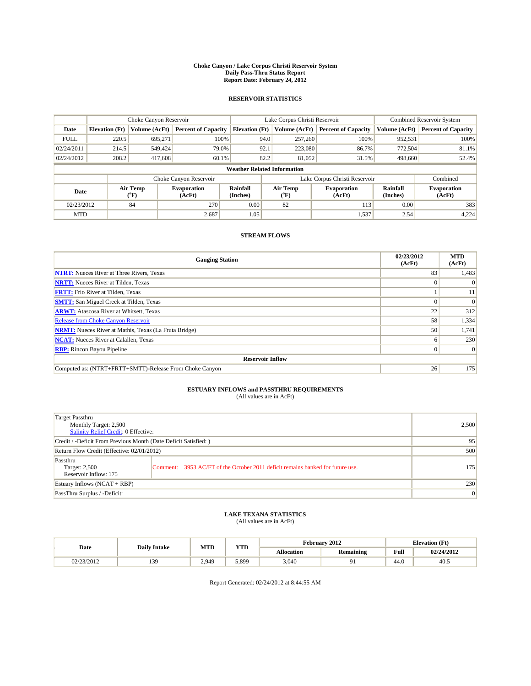#### **Choke Canyon / Lake Corpus Christi Reservoir System Daily Pass-Thru Status Report Report Date: February 24, 2012**

### **RESERVOIR STATISTICS**

|             | Choke Canyon Reservoir             |                  |                              |                             | Lake Corpus Christi Reservoir | <b>Combined Reservoir System</b> |                      |                              |  |  |
|-------------|------------------------------------|------------------|------------------------------|-----------------------------|-------------------------------|----------------------------------|----------------------|------------------------------|--|--|
| Date        | <b>Elevation</b> (Ft)              | Volume (AcFt)    | <b>Percent of Capacity</b>   | <b>Elevation</b> (Ft)       | Volume (AcFt)                 | <b>Percent of Capacity</b>       | Volume (AcFt)        | <b>Percent of Capacity</b>   |  |  |
| <b>FULL</b> | 220.5                              | 695,271          | 100%                         | 94.0                        | 257,260                       | 100%                             | 952,531              | 100%                         |  |  |
| 02/24/2011  | 214.5                              | 549,424          | 79.0%                        | 92.1                        | 223,080                       | 86.7%                            | 772,504              | 81.1%                        |  |  |
| 02/24/2012  | 208.2                              | 417,608          | 60.1%                        | 82.2                        | 81.052                        | 31.5%                            | 498,660              | 52.4%                        |  |  |
|             | <b>Weather Related Information</b> |                  |                              |                             |                               |                                  |                      |                              |  |  |
|             |                                    |                  | Choke Canyon Reservoir       |                             |                               | Lake Corpus Christi Reservoir    |                      | Combined                     |  |  |
| Date        |                                    | Air Temp<br>(°F) | <b>Evaporation</b><br>(AcFt) | <b>Rainfall</b><br>(Inches) | Air Temp<br>(°F)              | <b>Evaporation</b><br>(AcFt)     | Rainfall<br>(Inches) | <b>Evaporation</b><br>(AcFt) |  |  |
| 02/23/2012  |                                    | 84               | 270                          | 0.00                        | 82                            | 113                              | 0.00                 | 383                          |  |  |
| <b>MTD</b>  |                                    |                  | 2,687                        | 1.05                        |                               | 1,537                            | 2.54                 | 4,224                        |  |  |

### **STREAM FLOWS**

| <b>Gauging Station</b>                                       | 02/23/2012<br>(AcFt) | <b>MTD</b><br>(AcFt) |
|--------------------------------------------------------------|----------------------|----------------------|
| <b>NTRT:</b> Nueces River at Three Rivers, Texas             | 83                   | 1,483                |
| <b>NRTT:</b> Nueces River at Tilden, Texas                   | $\Omega$             |                      |
| <b>FRTT:</b> Frio River at Tilden, Texas                     |                      | 11                   |
| <b>SMTT:</b> San Miguel Creek at Tilden, Texas               |                      | $\Omega$             |
| <b>ARWT:</b> Atascosa River at Whitsett, Texas               | 22                   | 312                  |
| <b>Release from Choke Canyon Reservoir</b>                   | 58                   | 1,334                |
| <b>NRMT:</b> Nueces River at Mathis, Texas (La Fruta Bridge) | 50                   | 1,741                |
| <b>NCAT:</b> Nueces River at Calallen, Texas                 | <sub>0</sub>         | 230                  |
| <b>RBP:</b> Rincon Bayou Pipeline                            | $\overline{0}$       | $\Omega$             |
| <b>Reservoir Inflow</b>                                      |                      |                      |
| Computed as: (NTRT+FRTT+SMTT)-Release From Choke Canyon      | 26                   | 175                  |

# **ESTUARY INFLOWS and PASSTHRU REQUIREMENTS**<br>(All values are in AcFt)

| Target Passthru<br>Monthly Target: 2,500<br>Salinity Relief Credit: 0 Effective: |                                                                                | 2,500 |
|----------------------------------------------------------------------------------|--------------------------------------------------------------------------------|-------|
| Credit / -Deficit From Previous Month (Date Deficit Satisfied: )                 | 95                                                                             |       |
| Return Flow Credit (Effective: 02/01/2012)                                       | 500                                                                            |       |
| Passthru<br>Target: 2,500<br>Reservoir Inflow: 175                               | Comment: 3953 AC/FT of the October 2011 deficit remains banked for future use. | 175   |
| Estuary Inflows (NCAT + RBP)                                                     | 230                                                                            |       |
| PassThru Surplus / -Deficit:                                                     | $\overline{0}$                                                                 |       |

## **LAKE TEXANA STATISTICS** (All values are in AcFt)

|            | <b>Daily Intake</b> | <b>MTD</b> | <b>YTD</b> | February 2012<br><b>Elevation</b> (Ft) |                  |      |            |
|------------|---------------------|------------|------------|----------------------------------------|------------------|------|------------|
| Date       |                     |            |            | <b>Allocation</b>                      | <b>Remaining</b> | Full | 02/24/2012 |
| 02/23/2012 | 39<br>1J.           | 2.949      | 5.899      | 3,040                                  |                  | 44.0 | 40.5       |

Report Generated: 02/24/2012 at 8:44:55 AM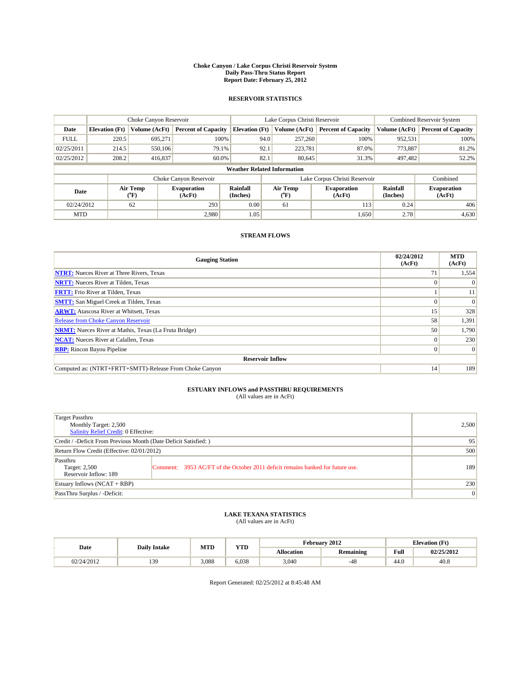#### **Choke Canyon / Lake Corpus Christi Reservoir System Daily Pass-Thru Status Report Report Date: February 25, 2012**

### **RESERVOIR STATISTICS**

|             | Choke Canyon Reservoir             |                  |                              |                       | Lake Corpus Christi Reservoir | <b>Combined Reservoir System</b> |                      |                              |  |  |
|-------------|------------------------------------|------------------|------------------------------|-----------------------|-------------------------------|----------------------------------|----------------------|------------------------------|--|--|
| Date        | <b>Elevation</b> (Ft)              | Volume (AcFt)    | <b>Percent of Capacity</b>   | <b>Elevation</b> (Ft) | Volume (AcFt)                 | <b>Percent of Capacity</b>       | Volume (AcFt)        | <b>Percent of Capacity</b>   |  |  |
| <b>FULL</b> | 220.5                              | 695,271          | 100%                         | 94.0                  | 257,260                       | 100%                             | 952,531              | 100%                         |  |  |
| 02/25/2011  | 214.5                              | 550,106          | 79.1%                        | 92.1                  | 223,781                       | 87.0%                            | 773,887              | 81.2%                        |  |  |
| 02/25/2012  | 208.2                              | 416,837          | 60.0%                        | 82.1                  | 80,645                        | 31.3%                            | 497,482              | 52.2%                        |  |  |
|             | <b>Weather Related Information</b> |                  |                              |                       |                               |                                  |                      |                              |  |  |
|             |                                    |                  | Choke Canyon Reservoir       |                       | Lake Corpus Christi Reservoir |                                  |                      | Combined                     |  |  |
| Date        |                                    | Air Temp<br>(°F) | <b>Evaporation</b><br>(AcFt) | Rainfall<br>(Inches)  | Air Temp<br>("F)              | <b>Evaporation</b><br>(AcFt)     | Rainfall<br>(Inches) | <b>Evaporation</b><br>(AcFt) |  |  |
| 02/24/2012  |                                    | 62               | 293                          | 0.00                  | 61                            | 113                              | 0.24                 | 406                          |  |  |
| <b>MTD</b>  |                                    |                  | 2.980                        | 1.05                  |                               | 1,650                            | 2.78                 | 4,630                        |  |  |

### **STREAM FLOWS**

| <b>Gauging Station</b>                                       | 02/24/2012<br>(AcFt) | <b>MTD</b><br>(AcFt) |  |  |  |  |  |  |
|--------------------------------------------------------------|----------------------|----------------------|--|--|--|--|--|--|
| <b>NTRT:</b> Nueces River at Three Rivers, Texas             | 71                   | 1,554                |  |  |  |  |  |  |
| <b>NRTT:</b> Nueces River at Tilden, Texas                   |                      |                      |  |  |  |  |  |  |
| <b>FRTT:</b> Frio River at Tilden, Texas                     |                      | 11                   |  |  |  |  |  |  |
| <b>SMTT:</b> San Miguel Creek at Tilden, Texas               |                      | $\Omega$             |  |  |  |  |  |  |
| <b>ARWT:</b> Atascosa River at Whitsett, Texas               | 15 <sup>1</sup>      | 328                  |  |  |  |  |  |  |
| <b>Release from Choke Canyon Reservoir</b>                   | 58                   | 1,391                |  |  |  |  |  |  |
| <b>NRMT:</b> Nueces River at Mathis, Texas (La Fruta Bridge) | 50                   | 1,790                |  |  |  |  |  |  |
| <b>NCAT:</b> Nueces River at Calallen, Texas                 | $\Omega$             | 230                  |  |  |  |  |  |  |
| <b>RBP:</b> Rincon Bayou Pipeline                            | $\overline{0}$       | $\Omega$             |  |  |  |  |  |  |
| <b>Reservoir Inflow</b>                                      |                      |                      |  |  |  |  |  |  |
| Computed as: (NTRT+FRTT+SMTT)-Release From Choke Canyon      | 14                   | 189                  |  |  |  |  |  |  |

## **ESTUARY INFLOWS and PASSTHRU REQUIREMENTS**<br>(All values are in AcFt)

| <b>Target Passthru</b><br>Monthly Target: 2,500<br>Salinity Relief Credit: 0 Effective: |                                                                                | 2,500 |
|-----------------------------------------------------------------------------------------|--------------------------------------------------------------------------------|-------|
| Credit / -Deficit From Previous Month (Date Deficit Satisfied: )                        | 95                                                                             |       |
| Return Flow Credit (Effective: 02/01/2012)                                              | 500                                                                            |       |
| Passthru<br>Target: 2,500<br>Reservoir Inflow: 189                                      | Comment: 3953 AC/FT of the October 2011 deficit remains banked for future use. | 189   |
| Estuary Inflows $(NCAT + RBP)$                                                          |                                                                                | 230   |
| PassThru Surplus / -Deficit:                                                            |                                                                                | 0     |

## **LAKE TEXANA STATISTICS** (All values are in AcFt)

|            | <b>Daily Intake</b> | <b>MTD</b> | <b>YTD</b> |                   | February 2012    |      | <b>Elevation</b> (Ft) |
|------------|---------------------|------------|------------|-------------------|------------------|------|-----------------------|
| Date       |                     |            |            | <b>Allocation</b> | <b>Remaining</b> | Full | 02/25/2012            |
| 02/24/2012 | 20                  | 3.088      | 6.038      | 3,040             | $-48$            | 44.0 | 40.8                  |

Report Generated: 02/25/2012 at 8:45:48 AM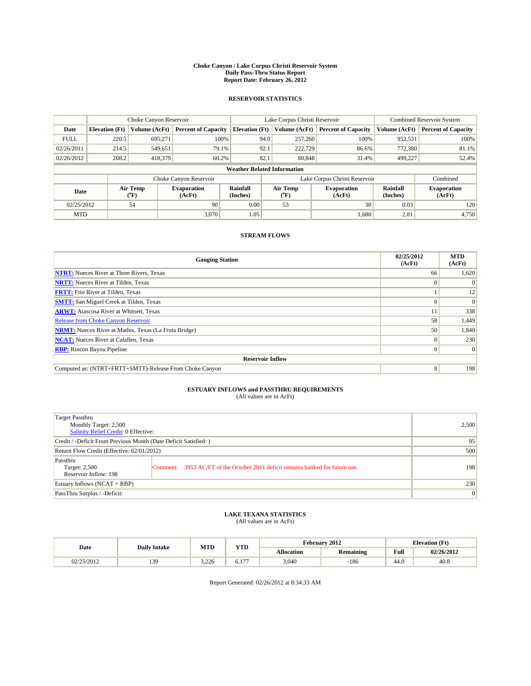#### **Choke Canyon / Lake Corpus Christi Reservoir System Daily Pass-Thru Status Report Report Date: February 26, 2012**

### **RESERVOIR STATISTICS**

|             | Choke Canyon Reservoir             |                  |                              |                       | Lake Corpus Christi Reservoir | <b>Combined Reservoir System</b> |                      |                              |  |  |
|-------------|------------------------------------|------------------|------------------------------|-----------------------|-------------------------------|----------------------------------|----------------------|------------------------------|--|--|
| Date        | <b>Elevation</b> (Ft)              | Volume (AcFt)    | <b>Percent of Capacity</b>   | <b>Elevation</b> (Ft) | Volume (AcFt)                 | <b>Percent of Capacity</b>       | Volume (AcFt)        | <b>Percent of Capacity</b>   |  |  |
| <b>FULL</b> | 220.5                              | 695,271          | 100%                         | 94.0                  | 257,260                       | 100%                             | 952,531              | 100%                         |  |  |
| 02/26/2011  | 214.5                              | 549,651          | 79.1%                        | 92.1                  | 222,729                       | 86.6%                            | 772,380              | 81.1%                        |  |  |
| 02/26/2012  | 208.2                              | 418,379          | 60.2%                        | 82.1                  | 80,848                        | 31.4%                            | 499,227              | 52.4%                        |  |  |
|             | <b>Weather Related Information</b> |                  |                              |                       |                               |                                  |                      |                              |  |  |
|             |                                    |                  | Choke Canyon Reservoir       |                       | Lake Corpus Christi Reservoir |                                  |                      | Combined                     |  |  |
| Date        |                                    | Air Temp<br>(°F) | <b>Evaporation</b><br>(AcFt) | Rainfall<br>(Inches)  | Air Temp<br>("F)              | <b>Evaporation</b><br>(AcFt)     | Rainfall<br>(Inches) | <b>Evaporation</b><br>(AcFt) |  |  |
| 02/25/2012  |                                    | 54               | 90                           | 0.00                  | 53                            | 30                               | 0.03                 | 120                          |  |  |
| <b>MTD</b>  |                                    |                  | 3.070                        | 1.05                  |                               | 1,680                            | 2.81                 | 4,750                        |  |  |

### **STREAM FLOWS**

| <b>Gauging Station</b>                                       | 02/25/2012<br>(AcFt) | <b>MTD</b><br>(AcFt) |  |  |  |  |  |
|--------------------------------------------------------------|----------------------|----------------------|--|--|--|--|--|
| <b>NTRT:</b> Nueces River at Three Rivers, Texas             | 66                   | 1,620                |  |  |  |  |  |
| <b>NRTT:</b> Nueces River at Tilden, Texas                   |                      |                      |  |  |  |  |  |
| <b>FRTT:</b> Frio River at Tilden, Texas                     |                      | 12                   |  |  |  |  |  |
| <b>SMTT:</b> San Miguel Creek at Tilden, Texas               |                      | $\Omega$             |  |  |  |  |  |
| <b>ARWT:</b> Atascosa River at Whitsett, Texas               |                      | 338                  |  |  |  |  |  |
| Release from Choke Canyon Reservoir                          | 58                   | 1,449                |  |  |  |  |  |
| <b>NRMT:</b> Nueces River at Mathis, Texas (La Fruta Bridge) | 50                   | 1,840                |  |  |  |  |  |
| <b>NCAT:</b> Nueces River at Calallen, Texas                 | $\Omega$             | 230                  |  |  |  |  |  |
| <b>RBP:</b> Rincon Bayou Pipeline                            | $\Omega$             | $\Omega$             |  |  |  |  |  |
| <b>Reservoir Inflow</b>                                      |                      |                      |  |  |  |  |  |
| Computed as: (NTRT+FRTT+SMTT)-Release From Choke Canyon      | 8                    | 198                  |  |  |  |  |  |

## **ESTUARY INFLOWS and PASSTHRU REQUIREMENTS**<br>(All values are in AcFt)

| <b>Target Passthru</b><br>Monthly Target: 2,500<br>Salinity Relief Credit: 0 Effective: |                                                                                | 2,500 |
|-----------------------------------------------------------------------------------------|--------------------------------------------------------------------------------|-------|
| Credit / -Deficit From Previous Month (Date Deficit Satisfied: )                        | 95                                                                             |       |
| Return Flow Credit (Effective: 02/01/2012)                                              | 500                                                                            |       |
| Passthru<br>Target: 2,500<br>Reservoir Inflow: 198                                      | Comment: 3953 AC/FT of the October 2011 deficit remains banked for future use. | 198   |
| Estuary Inflows $(NCAT + RBP)$                                                          |                                                                                | 230   |
| PassThru Surplus / -Deficit:                                                            |                                                                                | 0     |

## **LAKE TEXANA STATISTICS** (All values are in AcFt)

|            | <b>Daily Intake</b> | <b>MTD</b> | <b>YTD</b>   |                   | February 2012    |      | <b>Elevation (Ft)</b> |
|------------|---------------------|------------|--------------|-------------------|------------------|------|-----------------------|
| Date       |                     |            |              | <b>Allocation</b> | <b>Remaining</b> | Full | 02/26/2012            |
| 02/25/2012 | 30                  | 3.226      | 1.77<br>0.1. | 3,040             | $-186$           | 44.0 | 40.8                  |

Report Generated: 02/26/2012 at 8:34:33 AM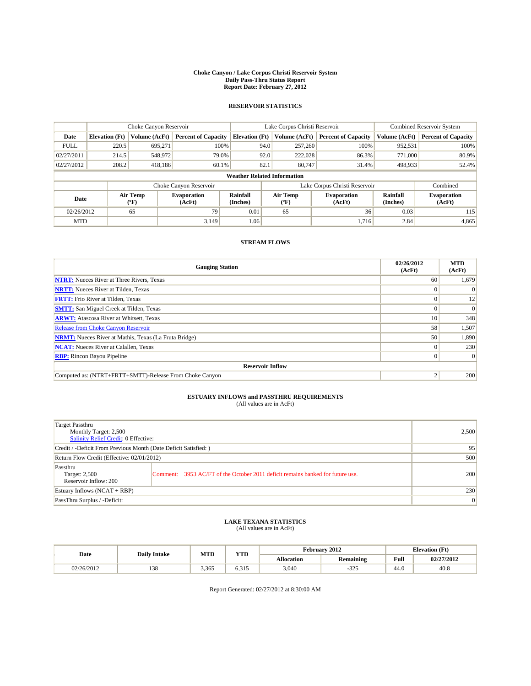#### **Choke Canyon / Lake Corpus Christi Reservoir System Daily Pass-Thru Status Report Report Date: February 27, 2012**

### **RESERVOIR STATISTICS**

|             | Choke Canyon Reservoir             |                          |                              |                       | Lake Corpus Christi Reservoir |                 |                              |                      | <b>Combined Reservoir System</b> |  |  |
|-------------|------------------------------------|--------------------------|------------------------------|-----------------------|-------------------------------|-----------------|------------------------------|----------------------|----------------------------------|--|--|
| Date        | <b>Elevation</b> (Ft)              | Volume (AcFt)            | <b>Percent of Capacity</b>   | <b>Elevation</b> (Ft) |                               | Volume (AcFt)   | <b>Percent of Capacity</b>   | Volume (AcFt)        | <b>Percent of Capacity</b>       |  |  |
| <b>FULL</b> | 220.5                              | 695.271                  | 100%                         |                       | 94.0                          | 257,260         | 100%                         | 952,531              | 100%                             |  |  |
| 02/27/2011  | 214.5                              | 548,972                  | 79.0%                        |                       | 92.0                          | 222,028         | 86.3%                        | 771,000              | 80.9%                            |  |  |
| 02/27/2012  | 208.2                              | 418,186                  | 60.1%                        |                       | 82.1                          | 80,747          | 31.4%                        | 498,933              | 52.4%                            |  |  |
|             | <b>Weather Related Information</b> |                          |                              |                       |                               |                 |                              |                      |                                  |  |  |
|             |                                    |                          | Choke Canyon Reservoir       |                       | Lake Corpus Christi Reservoir |                 |                              | Combined             |                                  |  |  |
| Date        |                                    | Air Temp<br>$\rm ^{o}F)$ | <b>Evaporation</b><br>(AcFt) | Rainfall<br>(Inches)  |                               | Air Temp<br>″F) | <b>Evaporation</b><br>(AcFt) | Rainfall<br>(Inches) | <b>Evaporation</b><br>(AcFt)     |  |  |
| 02/26/2012  |                                    | 65                       | 79                           | 0.01                  |                               | 65              | 36                           | 0.03                 | 115                              |  |  |
| <b>MTD</b>  |                                    |                          | 3.149                        | 1.06                  |                               |                 | 1.716                        | 2.84                 | 4,865                            |  |  |

### **STREAM FLOWS**

| <b>Gauging Station</b>                                       | 02/26/2012<br>(AcFt) | <b>MTD</b><br>(AcFt) |  |  |  |  |  |  |
|--------------------------------------------------------------|----------------------|----------------------|--|--|--|--|--|--|
| <b>NTRT:</b> Nueces River at Three Rivers, Texas             | 60                   | 1,679                |  |  |  |  |  |  |
| <b>NRTT:</b> Nueces River at Tilden, Texas                   |                      | $\Omega$             |  |  |  |  |  |  |
| <b>FRTT:</b> Frio River at Tilden, Texas                     |                      | 12                   |  |  |  |  |  |  |
| <b>SMTT:</b> San Miguel Creek at Tilden, Texas               |                      | $\Omega$             |  |  |  |  |  |  |
| <b>ARWT:</b> Atascosa River at Whitsett, Texas               | 10                   | 348                  |  |  |  |  |  |  |
| <b>Release from Choke Canyon Reservoir</b>                   | 58                   | 1,507                |  |  |  |  |  |  |
| <b>NRMT:</b> Nueces River at Mathis, Texas (La Fruta Bridge) | 50                   | 1,890                |  |  |  |  |  |  |
| <b>NCAT:</b> Nueces River at Calallen, Texas                 |                      | 230                  |  |  |  |  |  |  |
| <b>RBP:</b> Rincon Bayou Pipeline                            |                      | $\Omega$             |  |  |  |  |  |  |
| <b>Reservoir Inflow</b>                                      |                      |                      |  |  |  |  |  |  |
| Computed as: (NTRT+FRTT+SMTT)-Release From Choke Canyon      |                      | 200                  |  |  |  |  |  |  |

### **ESTUARY INFLOWS and PASSTHRU REQUIREMENTS**<br>(All values are in AcFt)

| <b>Target Passthru</b><br>Monthly Target: 2,500<br><b>Salinity Relief Credit: 0 Effective:</b> |                                                                                | 2.500          |
|------------------------------------------------------------------------------------------------|--------------------------------------------------------------------------------|----------------|
| Credit / -Deficit From Previous Month (Date Deficit Satisfied: )                               | 95                                                                             |                |
| Return Flow Credit (Effective: 02/01/2012)                                                     | 500                                                                            |                |
| Passthru<br>Target: 2,500<br>Reservoir Inflow: 200                                             | Comment: 3953 AC/FT of the October 2011 deficit remains banked for future use. | <b>200</b>     |
| Estuary Inflows $(NCAT + RBP)$                                                                 |                                                                                | 230            |
| PassThru Surplus / -Deficit:                                                                   |                                                                                | $\overline{0}$ |

#### **LAKE TEXANA STATISTICS** (All values are in AcFt)

| Date       | <b>Daily Intake</b> | <b>MTD</b> | <b>YTD</b>      |                   | February 2012    | <b>Elevation</b> (Ft)                       |            |  |
|------------|---------------------|------------|-----------------|-------------------|------------------|---------------------------------------------|------------|--|
|            |                     |            |                 | <b>Allocation</b> | <b>Remaining</b> | Full<br>the contract of the contract of the | 02/27/2012 |  |
| 02/26/2012 | 138                 | 3,365      | $-215$<br>6.312 | 3,040             | 225<br>ى 2 د -   | 44.0                                        | 40.8       |  |

Report Generated: 02/27/2012 at 8:30:00 AM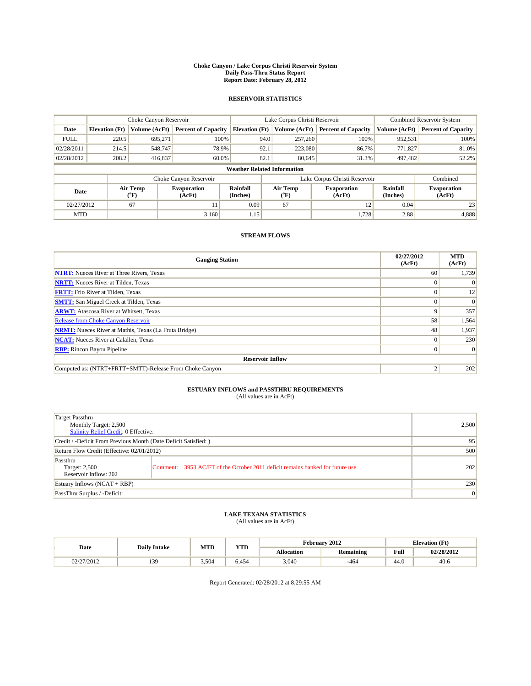#### **Choke Canyon / Lake Corpus Christi Reservoir System Daily Pass-Thru Status Report Report Date: February 28, 2012**

### **RESERVOIR STATISTICS**

|             | Choke Canyon Reservoir             |                  |                              |                       | Lake Corpus Christi Reservoir | <b>Combined Reservoir System</b> |                      |                              |  |
|-------------|------------------------------------|------------------|------------------------------|-----------------------|-------------------------------|----------------------------------|----------------------|------------------------------|--|
| Date        | <b>Elevation</b> (Ft)              | Volume (AcFt)    | <b>Percent of Capacity</b>   | <b>Elevation</b> (Ft) | Volume (AcFt)                 | <b>Percent of Capacity</b>       | Volume (AcFt)        | <b>Percent of Capacity</b>   |  |
| <b>FULL</b> | 220.5                              | 695,271          | 100%                         | 94.0                  | 257,260                       | 100%                             | 952,531              | 100%                         |  |
| 02/28/2011  | 214.5                              | 548,747          | 78.9%                        | 92.1                  | 223,080                       | 86.7%                            | 771,827              | 81.0%                        |  |
| 02/28/2012  | 208.2                              | 416,837          | 60.0%                        | 82.1                  | 80.645                        | 31.3%                            | 497,482              | 52.2%                        |  |
|             | <b>Weather Related Information</b> |                  |                              |                       |                               |                                  |                      |                              |  |
|             |                                    |                  | Choke Canyon Reservoir       |                       |                               | Lake Corpus Christi Reservoir    |                      | Combined                     |  |
| Date        |                                    | Air Temp<br>(°F) | <b>Evaporation</b><br>(AcFt) | Rainfall<br>(Inches)  | Air Temp<br>("F)              | <b>Evaporation</b><br>(AcFt)     | Rainfall<br>(Inches) | <b>Evaporation</b><br>(AcFt) |  |
| 02/27/2012  |                                    | 67               | 11                           | 0.09                  | 67                            | 12                               | 0.04                 | 23                           |  |
| <b>MTD</b>  |                                    |                  | 3.160                        | 1.15                  |                               | 1.728                            | 2.88                 | 4,888                        |  |

### **STREAM FLOWS**

| <b>Gauging Station</b>                                       | 02/27/2012<br>(AcFt) | <b>MTD</b><br>(AcFt) |
|--------------------------------------------------------------|----------------------|----------------------|
| <b>NTRT:</b> Nueces River at Three Rivers, Texas             | 60                   | 1,739                |
| <b>NRTT:</b> Nueces River at Tilden, Texas                   |                      |                      |
| <b>FRTT:</b> Frio River at Tilden, Texas                     |                      | 12                   |
| <b>SMTT:</b> San Miguel Creek at Tilden, Texas               |                      | $\Omega$             |
| <b>ARWT:</b> Atascosa River at Whitsett, Texas               | 9                    | 357                  |
| Release from Choke Canyon Reservoir                          | 58                   | 1,564                |
| <b>NRMT:</b> Nueces River at Mathis, Texas (La Fruta Bridge) | 48                   | 1,937                |
| <b>NCAT:</b> Nueces River at Calallen, Texas                 | $\Omega$             | 230                  |
| <b>RBP:</b> Rincon Bayou Pipeline                            | $\overline{0}$       | $\Omega$             |
| <b>Reservoir Inflow</b>                                      |                      |                      |
| Computed as: (NTRT+FRTT+SMTT)-Release From Choke Canyon      |                      | 202                  |

## **ESTUARY INFLOWS and PASSTHRU REQUIREMENTS**<br>(All values are in AcFt)

| Target Passthru<br>Monthly Target: 2,500<br>Salinity Relief Credit: 0 Effective: | 2,500                                                                          |     |
|----------------------------------------------------------------------------------|--------------------------------------------------------------------------------|-----|
| Credit / -Deficit From Previous Month (Date Deficit Satisfied: )                 | 95                                                                             |     |
| Return Flow Credit (Effective: 02/01/2012)                                       | 500                                                                            |     |
| Passthru<br>Target: 2,500<br>Reservoir Inflow: 202                               | Comment: 3953 AC/FT of the October 2011 deficit remains banked for future use. | 202 |
| Estuary Inflows (NCAT + RBP)                                                     | 230                                                                            |     |
| PassThru Surplus / -Deficit:                                                     | 0                                                                              |     |

## **LAKE TEXANA STATISTICS** (All values are in AcFt)

|            | <b>Daily Intake</b> | <b>MTD</b> | <b>XZOD</b><br>. | February 2012     |                  |      | <b>Elevation</b> (Ft) |
|------------|---------------------|------------|------------------|-------------------|------------------|------|-----------------------|
| Date       |                     |            |                  | <b>Allocation</b> | <b>Remaining</b> | Full | 02/28/2012            |
| 02/27/2012 | 13C                 | 5.504      | 6.454            | 3,040             | $-464$           | 44.0 | 40.6                  |

Report Generated: 02/28/2012 at 8:29:55 AM